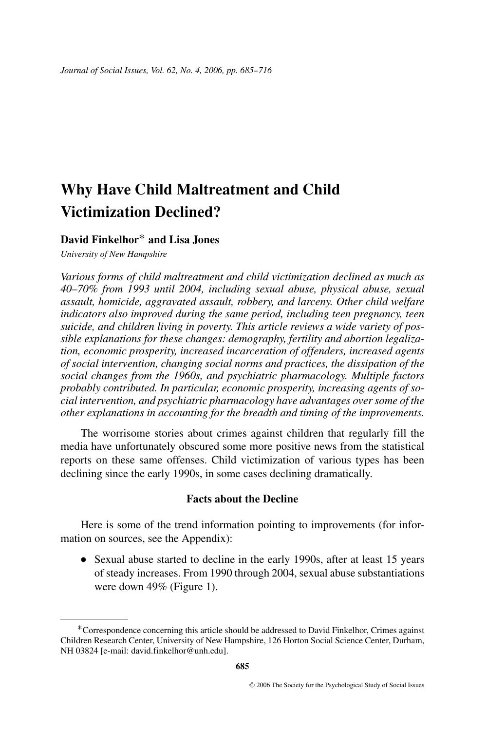# **Why Have Child Maltreatment and Child Victimization Declined?**

### **David Finkelhor**∗ **and Lisa Jones**

*University of New Hampshire*

*Various forms of child maltreatment and child victimization declined as much as 40–70% from 1993 until 2004, including sexual abuse, physical abuse, sexual assault, homicide, aggravated assault, robbery, and larceny. Other child welfare indicators also improved during the same period, including teen pregnancy, teen suicide, and children living in poverty. This article reviews a wide variety of possible explanations for these changes: demography, fertility and abortion legalization, economic prosperity, increased incarceration of offenders, increased agents of social intervention, changing social norms and practices, the dissipation of the social changes from the 1960s, and psychiatric pharmacology. Multiple factors probably contributed. In particular, economic prosperity, increasing agents of social intervention, and psychiatric pharmacology have advantages over some of the other explanations in accounting for the breadth and timing of the improvements.*

The worrisome stories about crimes against children that regularly fill the media have unfortunately obscured some more positive news from the statistical reports on these same offenses. Child victimization of various types has been declining since the early 1990s, in some cases declining dramatically.

### **Facts about the Decline**

Here is some of the trend information pointing to improvements (for information on sources, see the Appendix):

• Sexual abuse started to decline in the early 1990s, after at least 15 years of steady increases. From 1990 through 2004, sexual abuse substantiations were down 49% (Figure 1).

<sup>∗</sup>Correspondence concerning this article should be addressed to David Finkelhor, Crimes against Children Research Center, University of New Hampshire, 126 Horton Social Science Center, Durham, NH 03824 [e-mail: david.finkelhor@unh.edu].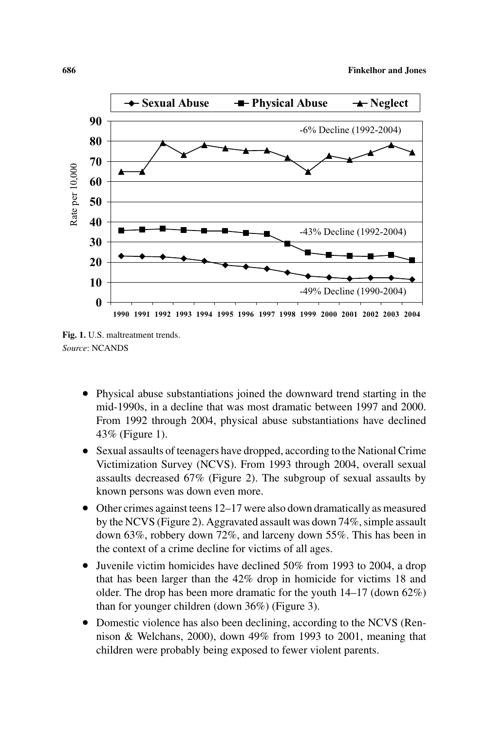

**Fig. 1.** U.S. maltreatment trends. *Source*: NCANDS

- Physical abuse substantiations joined the downward trend starting in the mid-1990s, in a decline that was most dramatic between 1997 and 2000. From 1992 through 2004, physical abuse substantiations have declined 43% (Figure 1).
- Sexual assaults of teenagers have dropped, according to the National Crime Victimization Survey (NCVS). From 1993 through 2004, overall sexual assaults decreased 67% (Figure 2). The subgroup of sexual assaults by known persons was down even more.
- Other crimes against teens 12–17 were also down dramatically as measured by the NCVS (Figure 2). Aggravated assault was down 74%, simple assault down 63%, robbery down 72%, and larceny down 55%. This has been in the context of a crime decline for victims of all ages.
- Juvenile victim homicides have declined 50% from 1993 to 2004, a drop that has been larger than the 42% drop in homicide for victims 18 and older. The drop has been more dramatic for the youth 14–17 (down 62%) than for younger children (down 36%) (Figure 3).
- Domestic violence has also been declining, according to the NCVS (Rennison & Welchans, 2000), down 49% from 1993 to 2001, meaning that children were probably being exposed to fewer violent parents.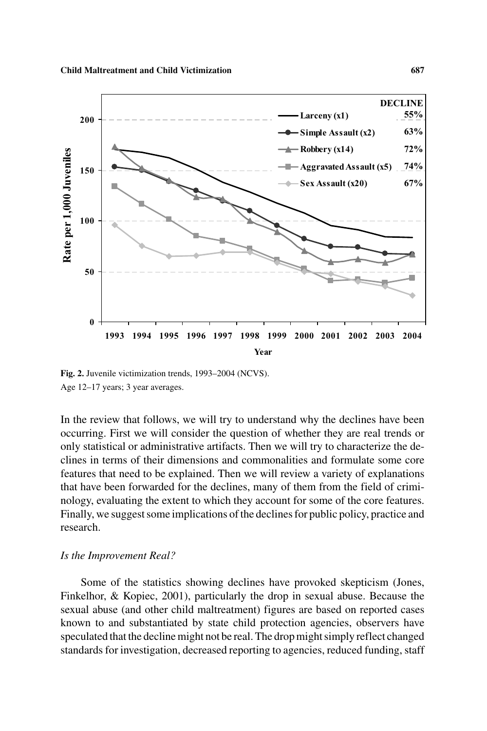

**Fig. 2.** Juvenile victimization trends, 1993–2004 (NCVS). Age 12–17 years; 3 year averages.

In the review that follows, we will try to understand why the declines have been occurring. First we will consider the question of whether they are real trends or only statistical or administrative artifacts. Then we will try to characterize the declines in terms of their dimensions and commonalities and formulate some core features that need to be explained. Then we will review a variety of explanations that have been forwarded for the declines, many of them from the field of criminology, evaluating the extent to which they account for some of the core features. Finally, we suggest some implications of the declines for public policy, practice and research.

### *Is the Improvement Real?*

Some of the statistics showing declines have provoked skepticism (Jones, Finkelhor, & Kopiec, 2001), particularly the drop in sexual abuse. Because the sexual abuse (and other child maltreatment) figures are based on reported cases known to and substantiated by state child protection agencies, observers have speculated that the decline might not be real. The drop might simply reflect changed standards for investigation, decreased reporting to agencies, reduced funding, staff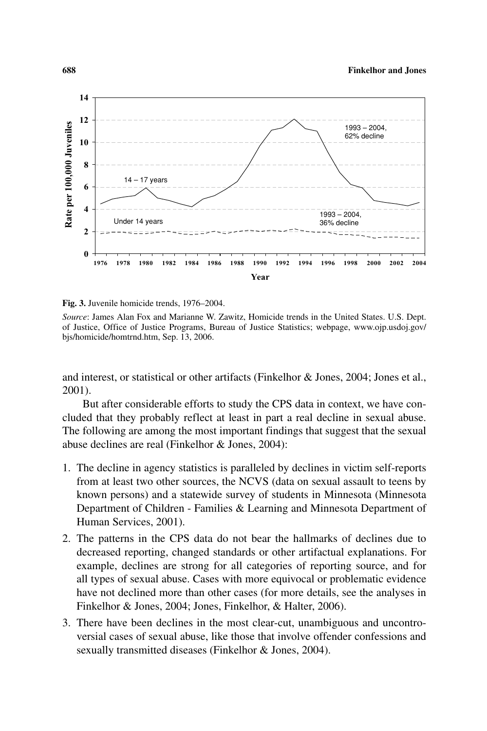

**Fig. 3.** Juvenile homicide trends, 1976–2004.

*Source*: James Alan Fox and Marianne W. Zawitz, Homicide trends in the United States. U.S. Dept. of Justice, Office of Justice Programs, Bureau of Justice Statistics; webpage, www.ojp.usdoj.gov/ bjs/homicide/homtrnd.htm, Sep. 13, 2006.

and interest, or statistical or other artifacts (Finkelhor & Jones, 2004; Jones et al., 2001).

But after considerable efforts to study the CPS data in context, we have concluded that they probably reflect at least in part a real decline in sexual abuse. The following are among the most important findings that suggest that the sexual abuse declines are real (Finkelhor & Jones, 2004):

- 1. The decline in agency statistics is paralleled by declines in victim self-reports from at least two other sources, the NCVS (data on sexual assault to teens by known persons) and a statewide survey of students in Minnesota (Minnesota Department of Children - Families & Learning and Minnesota Department of Human Services, 2001).
- 2. The patterns in the CPS data do not bear the hallmarks of declines due to decreased reporting, changed standards or other artifactual explanations. For example, declines are strong for all categories of reporting source, and for all types of sexual abuse. Cases with more equivocal or problematic evidence have not declined more than other cases (for more details, see the analyses in Finkelhor & Jones, 2004; Jones, Finkelhor, & Halter, 2006).
- 3. There have been declines in the most clear-cut, unambiguous and uncontroversial cases of sexual abuse, like those that involve offender confessions and sexually transmitted diseases (Finkelhor & Jones, 2004).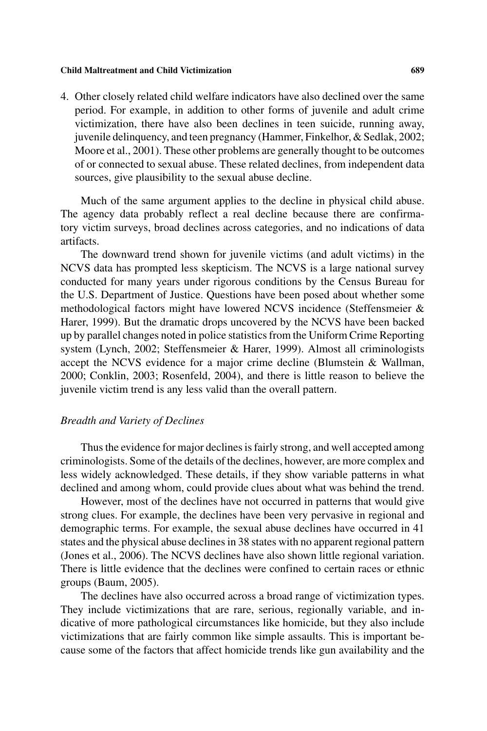4. Other closely related child welfare indicators have also declined over the same period. For example, in addition to other forms of juvenile and adult crime victimization, there have also been declines in teen suicide, running away, juvenile delinquency, and teen pregnancy (Hammer, Finkelhor, & Sedlak, 2002; Moore et al., 2001). These other problems are generally thought to be outcomes of or connected to sexual abuse. These related declines, from independent data sources, give plausibility to the sexual abuse decline.

Much of the same argument applies to the decline in physical child abuse. The agency data probably reflect a real decline because there are confirmatory victim surveys, broad declines across categories, and no indications of data artifacts.

The downward trend shown for juvenile victims (and adult victims) in the NCVS data has prompted less skepticism. The NCVS is a large national survey conducted for many years under rigorous conditions by the Census Bureau for the U.S. Department of Justice. Questions have been posed about whether some methodological factors might have lowered NCVS incidence (Steffensmeier & Harer, 1999). But the dramatic drops uncovered by the NCVS have been backed up by parallel changes noted in police statistics from the Uniform Crime Reporting system (Lynch, 2002; Steffensmeier & Harer, 1999). Almost all criminologists accept the NCVS evidence for a major crime decline (Blumstein & Wallman, 2000; Conklin, 2003; Rosenfeld, 2004), and there is little reason to believe the juvenile victim trend is any less valid than the overall pattern.

### *Breadth and Variety of Declines*

Thus the evidence for major declines is fairly strong, and well accepted among criminologists. Some of the details of the declines, however, are more complex and less widely acknowledged. These details, if they show variable patterns in what declined and among whom, could provide clues about what was behind the trend.

However, most of the declines have not occurred in patterns that would give strong clues. For example, the declines have been very pervasive in regional and demographic terms. For example, the sexual abuse declines have occurred in 41 states and the physical abuse declines in 38 states with no apparent regional pattern (Jones et al., 2006). The NCVS declines have also shown little regional variation. There is little evidence that the declines were confined to certain races or ethnic groups (Baum, 2005).

The declines have also occurred across a broad range of victimization types. They include victimizations that are rare, serious, regionally variable, and indicative of more pathological circumstances like homicide, but they also include victimizations that are fairly common like simple assaults. This is important because some of the factors that affect homicide trends like gun availability and the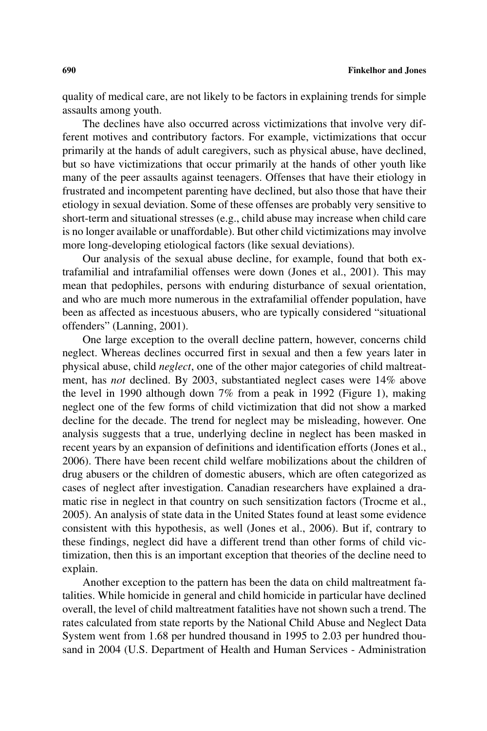quality of medical care, are not likely to be factors in explaining trends for simple assaults among youth.

The declines have also occurred across victimizations that involve very different motives and contributory factors. For example, victimizations that occur primarily at the hands of adult caregivers, such as physical abuse, have declined, but so have victimizations that occur primarily at the hands of other youth like many of the peer assaults against teenagers. Offenses that have their etiology in frustrated and incompetent parenting have declined, but also those that have their etiology in sexual deviation. Some of these offenses are probably very sensitive to short-term and situational stresses (e.g., child abuse may increase when child care is no longer available or unaffordable). But other child victimizations may involve more long-developing etiological factors (like sexual deviations).

Our analysis of the sexual abuse decline, for example, found that both extrafamilial and intrafamilial offenses were down (Jones et al., 2001). This may mean that pedophiles, persons with enduring disturbance of sexual orientation, and who are much more numerous in the extrafamilial offender population, have been as affected as incestuous abusers, who are typically considered "situational offenders" (Lanning, 2001).

One large exception to the overall decline pattern, however, concerns child neglect. Whereas declines occurred first in sexual and then a few years later in physical abuse, child *neglect*, one of the other major categories of child maltreatment, has *not* declined. By 2003, substantiated neglect cases were 14% above the level in 1990 although down 7% from a peak in 1992 (Figure 1), making neglect one of the few forms of child victimization that did not show a marked decline for the decade. The trend for neglect may be misleading, however. One analysis suggests that a true, underlying decline in neglect has been masked in recent years by an expansion of definitions and identification efforts (Jones et al., 2006). There have been recent child welfare mobilizations about the children of drug abusers or the children of domestic abusers, which are often categorized as cases of neglect after investigation. Canadian researchers have explained a dramatic rise in neglect in that country on such sensitization factors (Trocme et al., 2005). An analysis of state data in the United States found at least some evidence consistent with this hypothesis, as well (Jones et al., 2006). But if, contrary to these findings, neglect did have a different trend than other forms of child victimization, then this is an important exception that theories of the decline need to explain.

Another exception to the pattern has been the data on child maltreatment fatalities. While homicide in general and child homicide in particular have declined overall, the level of child maltreatment fatalities have not shown such a trend. The rates calculated from state reports by the National Child Abuse and Neglect Data System went from 1.68 per hundred thousand in 1995 to 2.03 per hundred thousand in 2004 (U.S. Department of Health and Human Services - Administration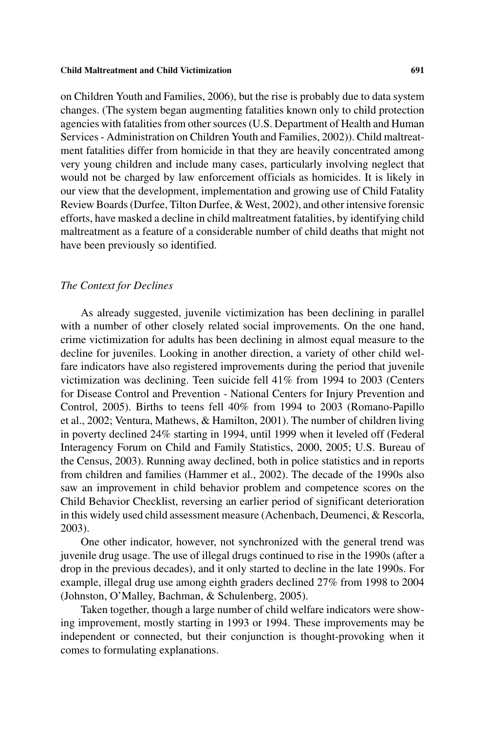on Children Youth and Families, 2006), but the rise is probably due to data system changes. (The system began augmenting fatalities known only to child protection agencies with fatalities from other sources (U.S. Department of Health and Human Services - Administration on Children Youth and Families, 2002)). Child maltreatment fatalities differ from homicide in that they are heavily concentrated among very young children and include many cases, particularly involving neglect that would not be charged by law enforcement officials as homicides. It is likely in our view that the development, implementation and growing use of Child Fatality Review Boards (Durfee, Tilton Durfee, & West, 2002), and other intensive forensic efforts, have masked a decline in child maltreatment fatalities, by identifying child maltreatment as a feature of a considerable number of child deaths that might not have been previously so identified.

### *The Context for Declines*

As already suggested, juvenile victimization has been declining in parallel with a number of other closely related social improvements. On the one hand, crime victimization for adults has been declining in almost equal measure to the decline for juveniles. Looking in another direction, a variety of other child welfare indicators have also registered improvements during the period that juvenile victimization was declining. Teen suicide fell 41% from 1994 to 2003 (Centers for Disease Control and Prevention - National Centers for Injury Prevention and Control, 2005). Births to teens fell 40% from 1994 to 2003 (Romano-Papillo et al., 2002; Ventura, Mathews, & Hamilton, 2001). The number of children living in poverty declined 24% starting in 1994, until 1999 when it leveled off (Federal Interagency Forum on Child and Family Statistics, 2000, 2005; U.S. Bureau of the Census, 2003). Running away declined, both in police statistics and in reports from children and families (Hammer et al., 2002). The decade of the 1990s also saw an improvement in child behavior problem and competence scores on the Child Behavior Checklist, reversing an earlier period of significant deterioration in this widely used child assessment measure (Achenbach, Deumenci, & Rescorla, 2003).

One other indicator, however, not synchronized with the general trend was juvenile drug usage. The use of illegal drugs continued to rise in the 1990s (after a drop in the previous decades), and it only started to decline in the late 1990s. For example, illegal drug use among eighth graders declined 27% from 1998 to 2004 (Johnston, O'Malley, Bachman, & Schulenberg, 2005).

Taken together, though a large number of child welfare indicators were showing improvement, mostly starting in 1993 or 1994. These improvements may be independent or connected, but their conjunction is thought-provoking when it comes to formulating explanations.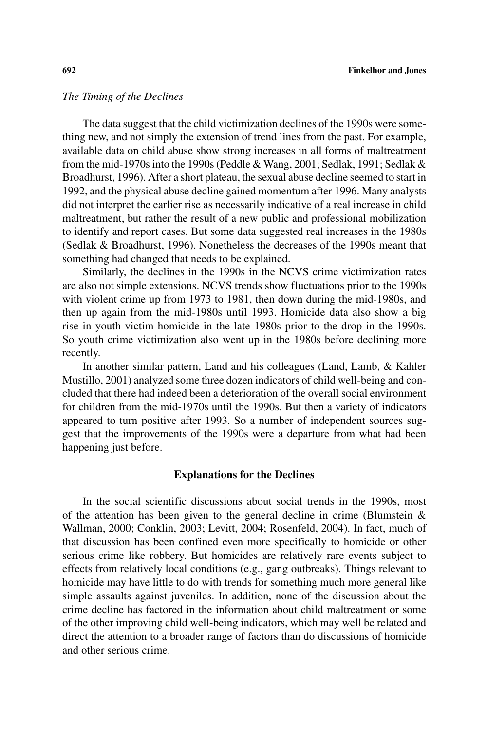### *The Timing of the Declines*

The data suggest that the child victimization declines of the 1990s were something new, and not simply the extension of trend lines from the past. For example, available data on child abuse show strong increases in all forms of maltreatment from the mid-1970s into the 1990s (Peddle & Wang, 2001; Sedlak, 1991; Sedlak & Broadhurst, 1996). After a short plateau, the sexual abuse decline seemed to start in 1992, and the physical abuse decline gained momentum after 1996. Many analysts did not interpret the earlier rise as necessarily indicative of a real increase in child maltreatment, but rather the result of a new public and professional mobilization to identify and report cases. But some data suggested real increases in the 1980s (Sedlak & Broadhurst, 1996). Nonetheless the decreases of the 1990s meant that something had changed that needs to be explained.

Similarly, the declines in the 1990s in the NCVS crime victimization rates are also not simple extensions. NCVS trends show fluctuations prior to the 1990s with violent crime up from 1973 to 1981, then down during the mid-1980s, and then up again from the mid-1980s until 1993. Homicide data also show a big rise in youth victim homicide in the late 1980s prior to the drop in the 1990s. So youth crime victimization also went up in the 1980s before declining more recently.

In another similar pattern, Land and his colleagues (Land, Lamb, & Kahler Mustillo, 2001) analyzed some three dozen indicators of child well-being and concluded that there had indeed been a deterioration of the overall social environment for children from the mid-1970s until the 1990s. But then a variety of indicators appeared to turn positive after 1993. So a number of independent sources suggest that the improvements of the 1990s were a departure from what had been happening just before.

### **Explanations for the Declines**

In the social scientific discussions about social trends in the 1990s, most of the attention has been given to the general decline in crime (Blumstein  $\&$ Wallman, 2000; Conklin, 2003; Levitt, 2004; Rosenfeld, 2004). In fact, much of that discussion has been confined even more specifically to homicide or other serious crime like robbery. But homicides are relatively rare events subject to effects from relatively local conditions (e.g., gang outbreaks). Things relevant to homicide may have little to do with trends for something much more general like simple assaults against juveniles. In addition, none of the discussion about the crime decline has factored in the information about child maltreatment or some of the other improving child well-being indicators, which may well be related and direct the attention to a broader range of factors than do discussions of homicide and other serious crime.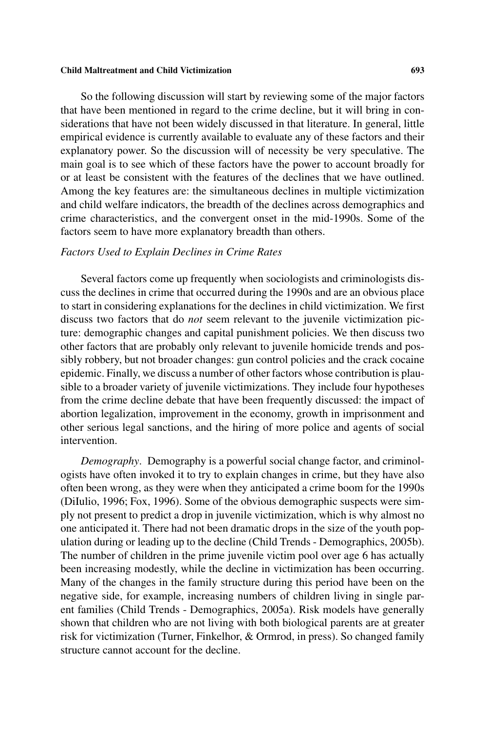So the following discussion will start by reviewing some of the major factors that have been mentioned in regard to the crime decline, but it will bring in considerations that have not been widely discussed in that literature. In general, little empirical evidence is currently available to evaluate any of these factors and their explanatory power. So the discussion will of necessity be very speculative. The main goal is to see which of these factors have the power to account broadly for or at least be consistent with the features of the declines that we have outlined. Among the key features are: the simultaneous declines in multiple victimization and child welfare indicators, the breadth of the declines across demographics and crime characteristics, and the convergent onset in the mid-1990s. Some of the factors seem to have more explanatory breadth than others.

### *Factors Used to Explain Declines in Crime Rates*

Several factors come up frequently when sociologists and criminologists discuss the declines in crime that occurred during the 1990s and are an obvious place to start in considering explanations for the declines in child victimization. We first discuss two factors that do *not* seem relevant to the juvenile victimization picture: demographic changes and capital punishment policies. We then discuss two other factors that are probably only relevant to juvenile homicide trends and possibly robbery, but not broader changes: gun control policies and the crack cocaine epidemic. Finally, we discuss a number of other factors whose contribution is plausible to a broader variety of juvenile victimizations. They include four hypotheses from the crime decline debate that have been frequently discussed: the impact of abortion legalization, improvement in the economy, growth in imprisonment and other serious legal sanctions, and the hiring of more police and agents of social intervention.

*Demography*. Demography is a powerful social change factor, and criminologists have often invoked it to try to explain changes in crime, but they have also often been wrong, as they were when they anticipated a crime boom for the 1990s (DiIulio, 1996; Fox, 1996). Some of the obvious demographic suspects were simply not present to predict a drop in juvenile victimization, which is why almost no one anticipated it. There had not been dramatic drops in the size of the youth population during or leading up to the decline (Child Trends - Demographics, 2005b). The number of children in the prime juvenile victim pool over age 6 has actually been increasing modestly, while the decline in victimization has been occurring. Many of the changes in the family structure during this period have been on the negative side, for example, increasing numbers of children living in single parent families (Child Trends - Demographics, 2005a). Risk models have generally shown that children who are not living with both biological parents are at greater risk for victimization (Turner, Finkelhor, & Ormrod, in press). So changed family structure cannot account for the decline.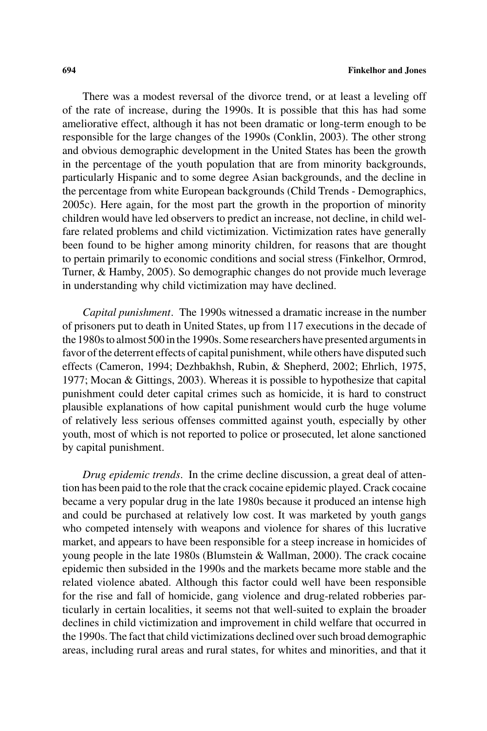### **694 Finkelhor and Jones**

There was a modest reversal of the divorce trend, or at least a leveling off of the rate of increase, during the 1990s. It is possible that this has had some ameliorative effect, although it has not been dramatic or long-term enough to be responsible for the large changes of the 1990s (Conklin, 2003). The other strong and obvious demographic development in the United States has been the growth in the percentage of the youth population that are from minority backgrounds, particularly Hispanic and to some degree Asian backgrounds, and the decline in the percentage from white European backgrounds (Child Trends - Demographics, 2005c). Here again, for the most part the growth in the proportion of minority children would have led observers to predict an increase, not decline, in child welfare related problems and child victimization. Victimization rates have generally been found to be higher among minority children, for reasons that are thought to pertain primarily to economic conditions and social stress (Finkelhor, Ormrod, Turner, & Hamby, 2005). So demographic changes do not provide much leverage in understanding why child victimization may have declined.

*Capital punishment*. The 1990s witnessed a dramatic increase in the number of prisoners put to death in United States, up from 117 executions in the decade of the 1980s to almost 500 in the 1990s. Some researchers have presented arguments in favor of the deterrent effects of capital punishment, while others have disputed such effects (Cameron, 1994; Dezhbakhsh, Rubin, & Shepherd, 2002; Ehrlich, 1975, 1977; Mocan & Gittings, 2003). Whereas it is possible to hypothesize that capital punishment could deter capital crimes such as homicide, it is hard to construct plausible explanations of how capital punishment would curb the huge volume of relatively less serious offenses committed against youth, especially by other youth, most of which is not reported to police or prosecuted, let alone sanctioned by capital punishment.

*Drug epidemic trends*. In the crime decline discussion, a great deal of attention has been paid to the role that the crack cocaine epidemic played. Crack cocaine became a very popular drug in the late 1980s because it produced an intense high and could be purchased at relatively low cost. It was marketed by youth gangs who competed intensely with weapons and violence for shares of this lucrative market, and appears to have been responsible for a steep increase in homicides of young people in the late 1980s (Blumstein & Wallman, 2000). The crack cocaine epidemic then subsided in the 1990s and the markets became more stable and the related violence abated. Although this factor could well have been responsible for the rise and fall of homicide, gang violence and drug-related robberies particularly in certain localities, it seems not that well-suited to explain the broader declines in child victimization and improvement in child welfare that occurred in the 1990s. The fact that child victimizations declined over such broad demographic areas, including rural areas and rural states, for whites and minorities, and that it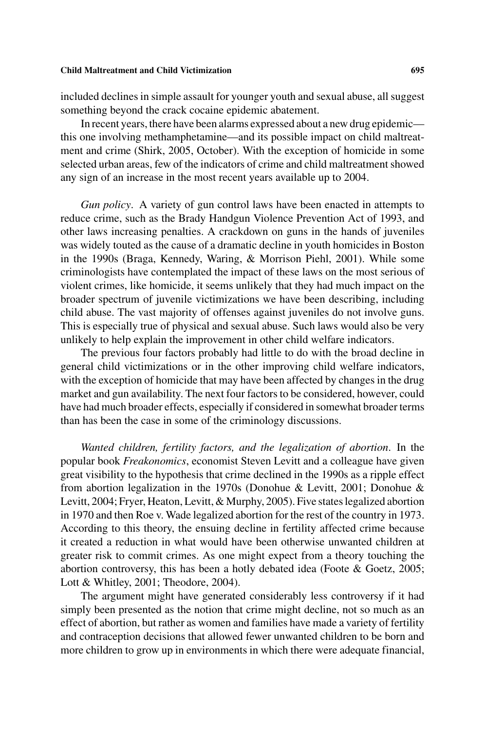included declines in simple assault for younger youth and sexual abuse, all suggest something beyond the crack cocaine epidemic abatement.

In recent years, there have been alarms expressed about a new drug epidemic this one involving methamphetamine—and its possible impact on child maltreatment and crime (Shirk, 2005, October). With the exception of homicide in some selected urban areas, few of the indicators of crime and child maltreatment showed any sign of an increase in the most recent years available up to 2004.

*Gun policy*. A variety of gun control laws have been enacted in attempts to reduce crime, such as the Brady Handgun Violence Prevention Act of 1993, and other laws increasing penalties. A crackdown on guns in the hands of juveniles was widely touted as the cause of a dramatic decline in youth homicides in Boston in the 1990s (Braga, Kennedy, Waring, & Morrison Piehl, 2001). While some criminologists have contemplated the impact of these laws on the most serious of violent crimes, like homicide, it seems unlikely that they had much impact on the broader spectrum of juvenile victimizations we have been describing, including child abuse. The vast majority of offenses against juveniles do not involve guns. This is especially true of physical and sexual abuse. Such laws would also be very unlikely to help explain the improvement in other child welfare indicators.

The previous four factors probably had little to do with the broad decline in general child victimizations or in the other improving child welfare indicators, with the exception of homicide that may have been affected by changes in the drug market and gun availability. The next four factors to be considered, however, could have had much broader effects, especially if considered in somewhat broader terms than has been the case in some of the criminology discussions.

*Wanted children, fertility factors, and the legalization of abortion*. In the popular book *Freakonomics*, economist Steven Levitt and a colleague have given great visibility to the hypothesis that crime declined in the 1990s as a ripple effect from abortion legalization in the 1970s (Donohue & Levitt, 2001; Donohue & Levitt, 2004; Fryer, Heaton, Levitt, & Murphy, 2005). Five states legalized abortion in 1970 and then Roe v. Wade legalized abortion for the rest of the country in 1973. According to this theory, the ensuing decline in fertility affected crime because it created a reduction in what would have been otherwise unwanted children at greater risk to commit crimes. As one might expect from a theory touching the abortion controversy, this has been a hotly debated idea (Foote & Goetz, 2005; Lott & Whitley, 2001; Theodore, 2004).

The argument might have generated considerably less controversy if it had simply been presented as the notion that crime might decline, not so much as an effect of abortion, but rather as women and families have made a variety of fertility and contraception decisions that allowed fewer unwanted children to be born and more children to grow up in environments in which there were adequate financial,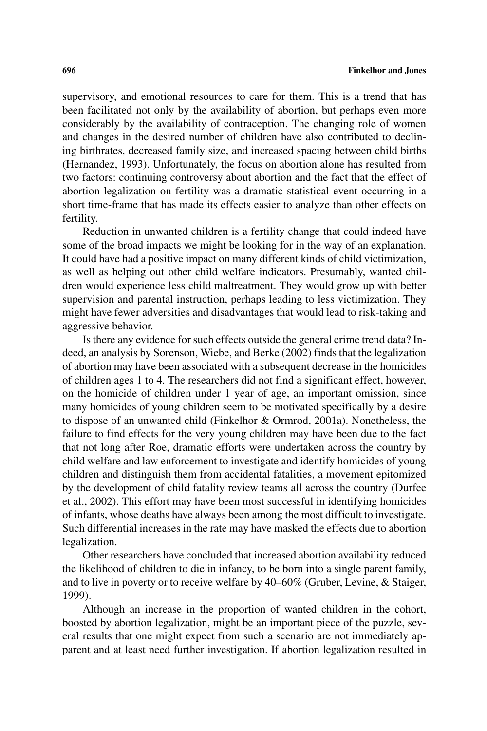supervisory, and emotional resources to care for them. This is a trend that has been facilitated not only by the availability of abortion, but perhaps even more considerably by the availability of contraception. The changing role of women and changes in the desired number of children have also contributed to declining birthrates, decreased family size, and increased spacing between child births (Hernandez, 1993). Unfortunately, the focus on abortion alone has resulted from two factors: continuing controversy about abortion and the fact that the effect of abortion legalization on fertility was a dramatic statistical event occurring in a short time-frame that has made its effects easier to analyze than other effects on fertility.

Reduction in unwanted children is a fertility change that could indeed have some of the broad impacts we might be looking for in the way of an explanation. It could have had a positive impact on many different kinds of child victimization, as well as helping out other child welfare indicators. Presumably, wanted children would experience less child maltreatment. They would grow up with better supervision and parental instruction, perhaps leading to less victimization. They might have fewer adversities and disadvantages that would lead to risk-taking and aggressive behavior.

Is there any evidence for such effects outside the general crime trend data? Indeed, an analysis by Sorenson, Wiebe, and Berke (2002) finds that the legalization of abortion may have been associated with a subsequent decrease in the homicides of children ages 1 to 4. The researchers did not find a significant effect, however, on the homicide of children under 1 year of age, an important omission, since many homicides of young children seem to be motivated specifically by a desire to dispose of an unwanted child (Finkelhor & Ormrod, 2001a). Nonetheless, the failure to find effects for the very young children may have been due to the fact that not long after Roe, dramatic efforts were undertaken across the country by child welfare and law enforcement to investigate and identify homicides of young children and distinguish them from accidental fatalities, a movement epitomized by the development of child fatality review teams all across the country (Durfee et al., 2002). This effort may have been most successful in identifying homicides of infants, whose deaths have always been among the most difficult to investigate. Such differential increases in the rate may have masked the effects due to abortion legalization.

Other researchers have concluded that increased abortion availability reduced the likelihood of children to die in infancy, to be born into a single parent family, and to live in poverty or to receive welfare by 40–60% (Gruber, Levine, & Staiger, 1999).

Although an increase in the proportion of wanted children in the cohort, boosted by abortion legalization, might be an important piece of the puzzle, several results that one might expect from such a scenario are not immediately apparent and at least need further investigation. If abortion legalization resulted in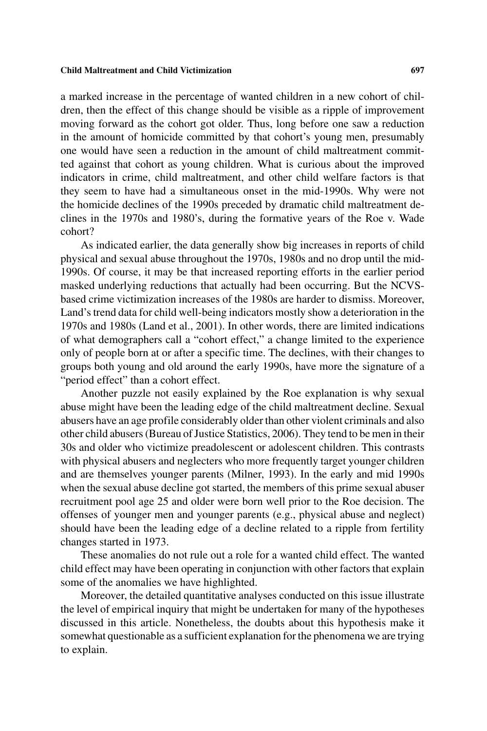a marked increase in the percentage of wanted children in a new cohort of children, then the effect of this change should be visible as a ripple of improvement moving forward as the cohort got older. Thus, long before one saw a reduction in the amount of homicide committed by that cohort's young men, presumably one would have seen a reduction in the amount of child maltreatment committed against that cohort as young children. What is curious about the improved indicators in crime, child maltreatment, and other child welfare factors is that they seem to have had a simultaneous onset in the mid-1990s. Why were not the homicide declines of the 1990s preceded by dramatic child maltreatment declines in the 1970s and 1980's, during the formative years of the Roe v. Wade cohort?

As indicated earlier, the data generally show big increases in reports of child physical and sexual abuse throughout the 1970s, 1980s and no drop until the mid-1990s. Of course, it may be that increased reporting efforts in the earlier period masked underlying reductions that actually had been occurring. But the NCVSbased crime victimization increases of the 1980s are harder to dismiss. Moreover, Land's trend data for child well-being indicators mostly show a deterioration in the 1970s and 1980s (Land et al., 2001). In other words, there are limited indications of what demographers call a "cohort effect," a change limited to the experience only of people born at or after a specific time. The declines, with their changes to groups both young and old around the early 1990s, have more the signature of a "period effect" than a cohort effect.

Another puzzle not easily explained by the Roe explanation is why sexual abuse might have been the leading edge of the child maltreatment decline. Sexual abusers have an age profile considerably older than other violent criminals and also other child abusers (Bureau of Justice Statistics, 2006). They tend to be men in their 30s and older who victimize preadolescent or adolescent children. This contrasts with physical abusers and neglecters who more frequently target younger children and are themselves younger parents (Milner, 1993). In the early and mid 1990s when the sexual abuse decline got started, the members of this prime sexual abuser recruitment pool age 25 and older were born well prior to the Roe decision. The offenses of younger men and younger parents (e.g., physical abuse and neglect) should have been the leading edge of a decline related to a ripple from fertility changes started in 1973.

These anomalies do not rule out a role for a wanted child effect. The wanted child effect may have been operating in conjunction with other factors that explain some of the anomalies we have highlighted.

Moreover, the detailed quantitative analyses conducted on this issue illustrate the level of empirical inquiry that might be undertaken for many of the hypotheses discussed in this article. Nonetheless, the doubts about this hypothesis make it somewhat questionable as a sufficient explanation for the phenomena we are trying to explain.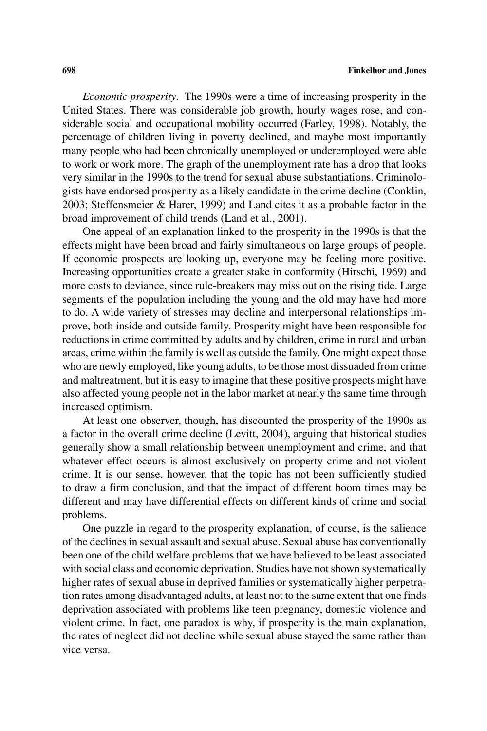#### **698 Finkelhor and Jones**

*Economic prosperity*. The 1990s were a time of increasing prosperity in the United States. There was considerable job growth, hourly wages rose, and considerable social and occupational mobility occurred (Farley, 1998). Notably, the percentage of children living in poverty declined, and maybe most importantly many people who had been chronically unemployed or underemployed were able to work or work more. The graph of the unemployment rate has a drop that looks very similar in the 1990s to the trend for sexual abuse substantiations. Criminologists have endorsed prosperity as a likely candidate in the crime decline (Conklin, 2003; Steffensmeier & Harer, 1999) and Land cites it as a probable factor in the broad improvement of child trends (Land et al., 2001).

One appeal of an explanation linked to the prosperity in the 1990s is that the effects might have been broad and fairly simultaneous on large groups of people. If economic prospects are looking up, everyone may be feeling more positive. Increasing opportunities create a greater stake in conformity (Hirschi, 1969) and more costs to deviance, since rule-breakers may miss out on the rising tide. Large segments of the population including the young and the old may have had more to do. A wide variety of stresses may decline and interpersonal relationships improve, both inside and outside family. Prosperity might have been responsible for reductions in crime committed by adults and by children, crime in rural and urban areas, crime within the family is well as outside the family. One might expect those who are newly employed, like young adults, to be those most dissuaded from crime and maltreatment, but it is easy to imagine that these positive prospects might have also affected young people not in the labor market at nearly the same time through increased optimism.

At least one observer, though, has discounted the prosperity of the 1990s as a factor in the overall crime decline (Levitt, 2004), arguing that historical studies generally show a small relationship between unemployment and crime, and that whatever effect occurs is almost exclusively on property crime and not violent crime. It is our sense, however, that the topic has not been sufficiently studied to draw a firm conclusion, and that the impact of different boom times may be different and may have differential effects on different kinds of crime and social problems.

One puzzle in regard to the prosperity explanation, of course, is the salience of the declines in sexual assault and sexual abuse. Sexual abuse has conventionally been one of the child welfare problems that we have believed to be least associated with social class and economic deprivation. Studies have not shown systematically higher rates of sexual abuse in deprived families or systematically higher perpetration rates among disadvantaged adults, at least not to the same extent that one finds deprivation associated with problems like teen pregnancy, domestic violence and violent crime. In fact, one paradox is why, if prosperity is the main explanation, the rates of neglect did not decline while sexual abuse stayed the same rather than vice versa.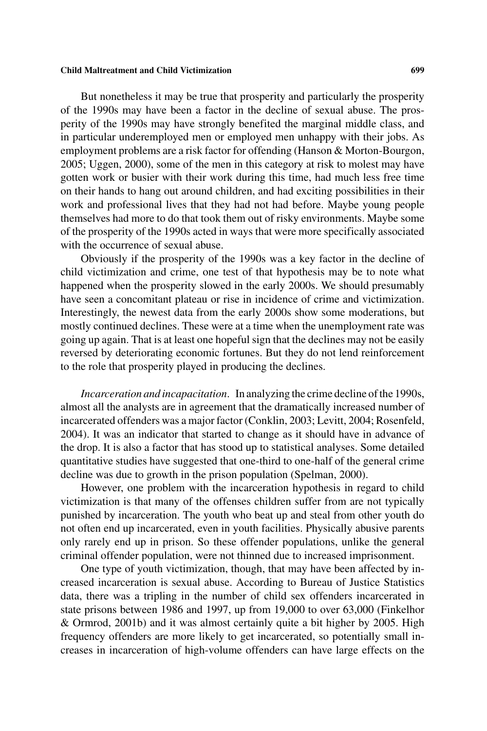But nonetheless it may be true that prosperity and particularly the prosperity of the 1990s may have been a factor in the decline of sexual abuse. The prosperity of the 1990s may have strongly benefited the marginal middle class, and in particular underemployed men or employed men unhappy with their jobs. As employment problems are a risk factor for offending (Hanson & Morton-Bourgon, 2005; Uggen, 2000), some of the men in this category at risk to molest may have gotten work or busier with their work during this time, had much less free time on their hands to hang out around children, and had exciting possibilities in their work and professional lives that they had not had before. Maybe young people themselves had more to do that took them out of risky environments. Maybe some of the prosperity of the 1990s acted in ways that were more specifically associated with the occurrence of sexual abuse.

Obviously if the prosperity of the 1990s was a key factor in the decline of child victimization and crime, one test of that hypothesis may be to note what happened when the prosperity slowed in the early 2000s. We should presumably have seen a concomitant plateau or rise in incidence of crime and victimization. Interestingly, the newest data from the early 2000s show some moderations, but mostly continued declines. These were at a time when the unemployment rate was going up again. That is at least one hopeful sign that the declines may not be easily reversed by deteriorating economic fortunes. But they do not lend reinforcement to the role that prosperity played in producing the declines.

*Incarceration and incapacitation*. In analyzing the crime decline of the 1990s, almost all the analysts are in agreement that the dramatically increased number of incarcerated offenders was a major factor (Conklin, 2003; Levitt, 2004; Rosenfeld, 2004). It was an indicator that started to change as it should have in advance of the drop. It is also a factor that has stood up to statistical analyses. Some detailed quantitative studies have suggested that one-third to one-half of the general crime decline was due to growth in the prison population (Spelman, 2000).

However, one problem with the incarceration hypothesis in regard to child victimization is that many of the offenses children suffer from are not typically punished by incarceration. The youth who beat up and steal from other youth do not often end up incarcerated, even in youth facilities. Physically abusive parents only rarely end up in prison. So these offender populations, unlike the general criminal offender population, were not thinned due to increased imprisonment.

One type of youth victimization, though, that may have been affected by increased incarceration is sexual abuse. According to Bureau of Justice Statistics data, there was a tripling in the number of child sex offenders incarcerated in state prisons between 1986 and 1997, up from 19,000 to over 63,000 (Finkelhor & Ormrod, 2001b) and it was almost certainly quite a bit higher by 2005. High frequency offenders are more likely to get incarcerated, so potentially small increases in incarceration of high-volume offenders can have large effects on the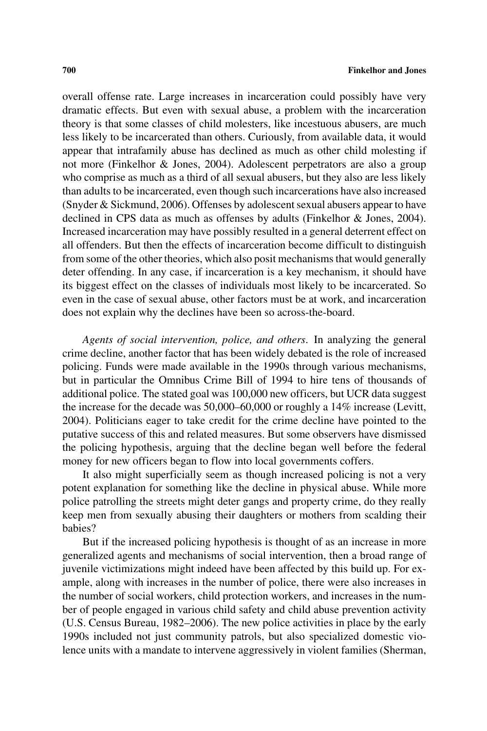overall offense rate. Large increases in incarceration could possibly have very dramatic effects. But even with sexual abuse, a problem with the incarceration theory is that some classes of child molesters, like incestuous abusers, are much less likely to be incarcerated than others. Curiously, from available data, it would appear that intrafamily abuse has declined as much as other child molesting if not more (Finkelhor & Jones, 2004). Adolescent perpetrators are also a group who comprise as much as a third of all sexual abusers, but they also are less likely than adults to be incarcerated, even though such incarcerations have also increased (Snyder & Sickmund, 2006). Offenses by adolescent sexual abusers appear to have declined in CPS data as much as offenses by adults (Finkelhor & Jones, 2004). Increased incarceration may have possibly resulted in a general deterrent effect on all offenders. But then the effects of incarceration become difficult to distinguish from some of the other theories, which also posit mechanisms that would generally deter offending. In any case, if incarceration is a key mechanism, it should have its biggest effect on the classes of individuals most likely to be incarcerated. So even in the case of sexual abuse, other factors must be at work, and incarceration does not explain why the declines have been so across-the-board.

*Agents of social intervention, police, and others*. In analyzing the general crime decline, another factor that has been widely debated is the role of increased policing. Funds were made available in the 1990s through various mechanisms, but in particular the Omnibus Crime Bill of 1994 to hire tens of thousands of additional police. The stated goal was 100,000 new officers, but UCR data suggest the increase for the decade was 50,000–60,000 or roughly a 14% increase (Levitt, 2004). Politicians eager to take credit for the crime decline have pointed to the putative success of this and related measures. But some observers have dismissed the policing hypothesis, arguing that the decline began well before the federal money for new officers began to flow into local governments coffers.

It also might superficially seem as though increased policing is not a very potent explanation for something like the decline in physical abuse. While more police patrolling the streets might deter gangs and property crime, do they really keep men from sexually abusing their daughters or mothers from scalding their babies?

But if the increased policing hypothesis is thought of as an increase in more generalized agents and mechanisms of social intervention, then a broad range of juvenile victimizations might indeed have been affected by this build up. For example, along with increases in the number of police, there were also increases in the number of social workers, child protection workers, and increases in the number of people engaged in various child safety and child abuse prevention activity (U.S. Census Bureau, 1982–2006). The new police activities in place by the early 1990s included not just community patrols, but also specialized domestic violence units with a mandate to intervene aggressively in violent families (Sherman,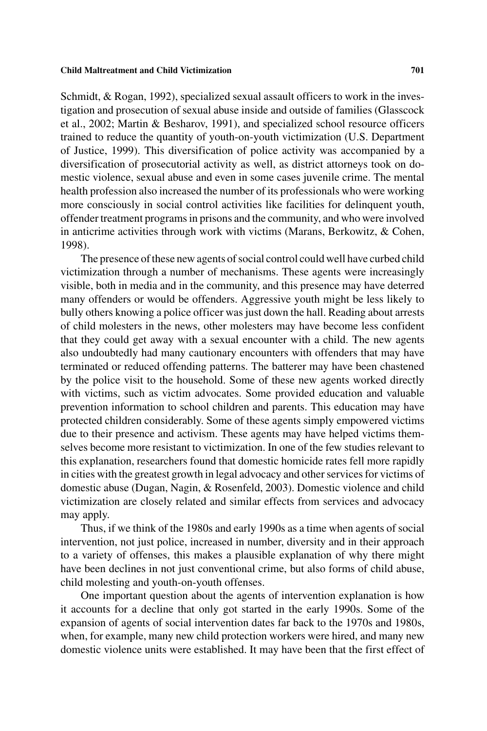Schmidt, & Rogan, 1992), specialized sexual assault officers to work in the investigation and prosecution of sexual abuse inside and outside of families (Glasscock et al., 2002; Martin & Besharov, 1991), and specialized school resource officers trained to reduce the quantity of youth-on-youth victimization (U.S. Department of Justice, 1999). This diversification of police activity was accompanied by a diversification of prosecutorial activity as well, as district attorneys took on domestic violence, sexual abuse and even in some cases juvenile crime. The mental health profession also increased the number of its professionals who were working more consciously in social control activities like facilities for delinquent youth, offender treatment programs in prisons and the community, and who were involved in anticrime activities through work with victims (Marans, Berkowitz, & Cohen, 1998).

The presence of these new agents of social control could well have curbed child victimization through a number of mechanisms. These agents were increasingly visible, both in media and in the community, and this presence may have deterred many offenders or would be offenders. Aggressive youth might be less likely to bully others knowing a police officer was just down the hall. Reading about arrests of child molesters in the news, other molesters may have become less confident that they could get away with a sexual encounter with a child. The new agents also undoubtedly had many cautionary encounters with offenders that may have terminated or reduced offending patterns. The batterer may have been chastened by the police visit to the household. Some of these new agents worked directly with victims, such as victim advocates. Some provided education and valuable prevention information to school children and parents. This education may have protected children considerably. Some of these agents simply empowered victims due to their presence and activism. These agents may have helped victims themselves become more resistant to victimization. In one of the few studies relevant to this explanation, researchers found that domestic homicide rates fell more rapidly in cities with the greatest growth in legal advocacy and other services for victims of domestic abuse (Dugan, Nagin, & Rosenfeld, 2003). Domestic violence and child victimization are closely related and similar effects from services and advocacy may apply.

Thus, if we think of the 1980s and early 1990s as a time when agents of social intervention, not just police, increased in number, diversity and in their approach to a variety of offenses, this makes a plausible explanation of why there might have been declines in not just conventional crime, but also forms of child abuse, child molesting and youth-on-youth offenses.

One important question about the agents of intervention explanation is how it accounts for a decline that only got started in the early 1990s. Some of the expansion of agents of social intervention dates far back to the 1970s and 1980s, when, for example, many new child protection workers were hired, and many new domestic violence units were established. It may have been that the first effect of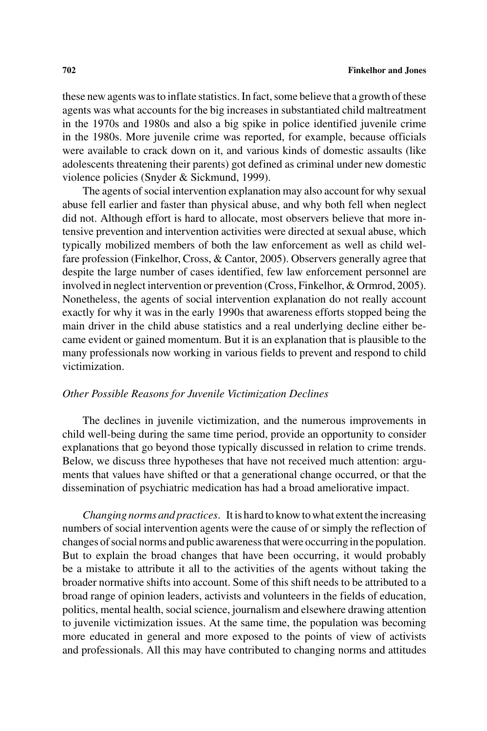these new agents was to inflate statistics. In fact, some believe that a growth of these agents was what accounts for the big increases in substantiated child maltreatment in the 1970s and 1980s and also a big spike in police identified juvenile crime in the 1980s. More juvenile crime was reported, for example, because officials were available to crack down on it, and various kinds of domestic assaults (like adolescents threatening their parents) got defined as criminal under new domestic violence policies (Snyder & Sickmund, 1999).

The agents of social intervention explanation may also account for why sexual abuse fell earlier and faster than physical abuse, and why both fell when neglect did not. Although effort is hard to allocate, most observers believe that more intensive prevention and intervention activities were directed at sexual abuse, which typically mobilized members of both the law enforcement as well as child welfare profession (Finkelhor, Cross, & Cantor, 2005). Observers generally agree that despite the large number of cases identified, few law enforcement personnel are involved in neglect intervention or prevention (Cross, Finkelhor, & Ormrod, 2005). Nonetheless, the agents of social intervention explanation do not really account exactly for why it was in the early 1990s that awareness efforts stopped being the main driver in the child abuse statistics and a real underlying decline either became evident or gained momentum. But it is an explanation that is plausible to the many professionals now working in various fields to prevent and respond to child victimization.

### *Other Possible Reasons for Juvenile Victimization Declines*

The declines in juvenile victimization, and the numerous improvements in child well-being during the same time period, provide an opportunity to consider explanations that go beyond those typically discussed in relation to crime trends. Below, we discuss three hypotheses that have not received much attention: arguments that values have shifted or that a generational change occurred, or that the dissemination of psychiatric medication has had a broad ameliorative impact.

*Changing norms and practices*. It is hard to know to what extent the increasing numbers of social intervention agents were the cause of or simply the reflection of changes of social norms and public awareness that were occurring in the population. But to explain the broad changes that have been occurring, it would probably be a mistake to attribute it all to the activities of the agents without taking the broader normative shifts into account. Some of this shift needs to be attributed to a broad range of opinion leaders, activists and volunteers in the fields of education, politics, mental health, social science, journalism and elsewhere drawing attention to juvenile victimization issues. At the same time, the population was becoming more educated in general and more exposed to the points of view of activists and professionals. All this may have contributed to changing norms and attitudes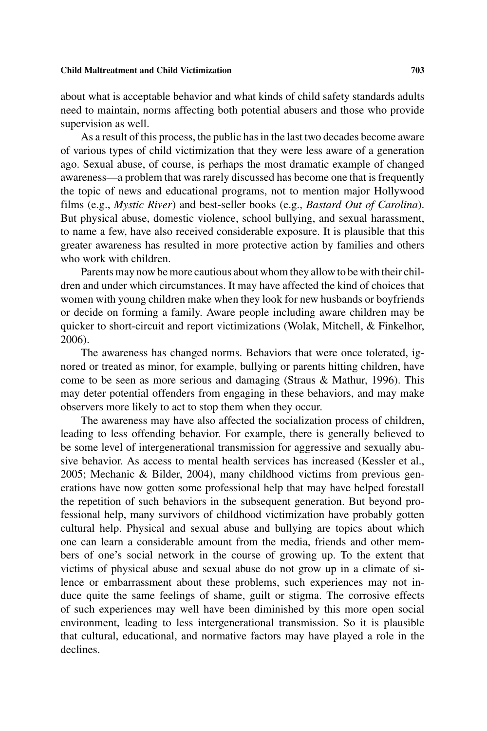about what is acceptable behavior and what kinds of child safety standards adults need to maintain, norms affecting both potential abusers and those who provide supervision as well.

As a result of this process, the public has in the last two decades become aware of various types of child victimization that they were less aware of a generation ago. Sexual abuse, of course, is perhaps the most dramatic example of changed awareness—a problem that was rarely discussed has become one that is frequently the topic of news and educational programs, not to mention major Hollywood films (e.g., *Mystic River*) and best-seller books (e.g., *Bastard Out of Carolina*). But physical abuse, domestic violence, school bullying, and sexual harassment, to name a few, have also received considerable exposure. It is plausible that this greater awareness has resulted in more protective action by families and others who work with children.

Parents may now be more cautious about whom they allow to be with their children and under which circumstances. It may have affected the kind of choices that women with young children make when they look for new husbands or boyfriends or decide on forming a family. Aware people including aware children may be quicker to short-circuit and report victimizations (Wolak, Mitchell, & Finkelhor, 2006).

The awareness has changed norms. Behaviors that were once tolerated, ignored or treated as minor, for example, bullying or parents hitting children, have come to be seen as more serious and damaging (Straus & Mathur, 1996). This may deter potential offenders from engaging in these behaviors, and may make observers more likely to act to stop them when they occur.

The awareness may have also affected the socialization process of children, leading to less offending behavior. For example, there is generally believed to be some level of intergenerational transmission for aggressive and sexually abusive behavior. As access to mental health services has increased (Kessler et al., 2005; Mechanic & Bilder, 2004), many childhood victims from previous generations have now gotten some professional help that may have helped forestall the repetition of such behaviors in the subsequent generation. But beyond professional help, many survivors of childhood victimization have probably gotten cultural help. Physical and sexual abuse and bullying are topics about which one can learn a considerable amount from the media, friends and other members of one's social network in the course of growing up. To the extent that victims of physical abuse and sexual abuse do not grow up in a climate of silence or embarrassment about these problems, such experiences may not induce quite the same feelings of shame, guilt or stigma. The corrosive effects of such experiences may well have been diminished by this more open social environment, leading to less intergenerational transmission. So it is plausible that cultural, educational, and normative factors may have played a role in the declines.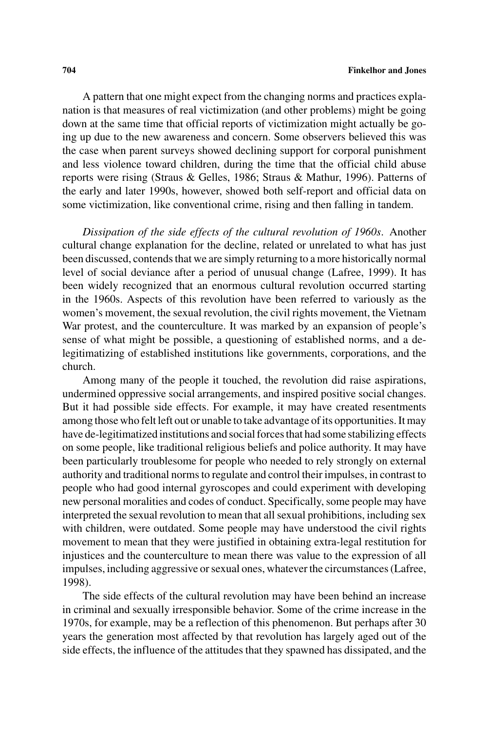### **704 Finkelhor and Jones**

A pattern that one might expect from the changing norms and practices explanation is that measures of real victimization (and other problems) might be going down at the same time that official reports of victimization might actually be going up due to the new awareness and concern. Some observers believed this was the case when parent surveys showed declining support for corporal punishment and less violence toward children, during the time that the official child abuse reports were rising (Straus & Gelles, 1986; Straus & Mathur, 1996). Patterns of the early and later 1990s, however, showed both self-report and official data on some victimization, like conventional crime, rising and then falling in tandem.

*Dissipation of the side effects of the cultural revolution of 1960s*. Another cultural change explanation for the decline, related or unrelated to what has just been discussed, contends that we are simply returning to a more historically normal level of social deviance after a period of unusual change (Lafree, 1999). It has been widely recognized that an enormous cultural revolution occurred starting in the 1960s. Aspects of this revolution have been referred to variously as the women's movement, the sexual revolution, the civil rights movement, the Vietnam War protest, and the counterculture. It was marked by an expansion of people's sense of what might be possible, a questioning of established norms, and a delegitimatizing of established institutions like governments, corporations, and the church.

Among many of the people it touched, the revolution did raise aspirations, undermined oppressive social arrangements, and inspired positive social changes. But it had possible side effects. For example, it may have created resentments among those who felt left out or unable to take advantage of its opportunities. It may have de-legitimatized institutions and social forces that had some stabilizing effects on some people, like traditional religious beliefs and police authority. It may have been particularly troublesome for people who needed to rely strongly on external authority and traditional norms to regulate and control their impulses, in contrast to people who had good internal gyroscopes and could experiment with developing new personal moralities and codes of conduct. Specifically, some people may have interpreted the sexual revolution to mean that all sexual prohibitions, including sex with children, were outdated. Some people may have understood the civil rights movement to mean that they were justified in obtaining extra-legal restitution for injustices and the counterculture to mean there was value to the expression of all impulses, including aggressive or sexual ones, whatever the circumstances (Lafree, 1998).

The side effects of the cultural revolution may have been behind an increase in criminal and sexually irresponsible behavior. Some of the crime increase in the 1970s, for example, may be a reflection of this phenomenon. But perhaps after 30 years the generation most affected by that revolution has largely aged out of the side effects, the influence of the attitudes that they spawned has dissipated, and the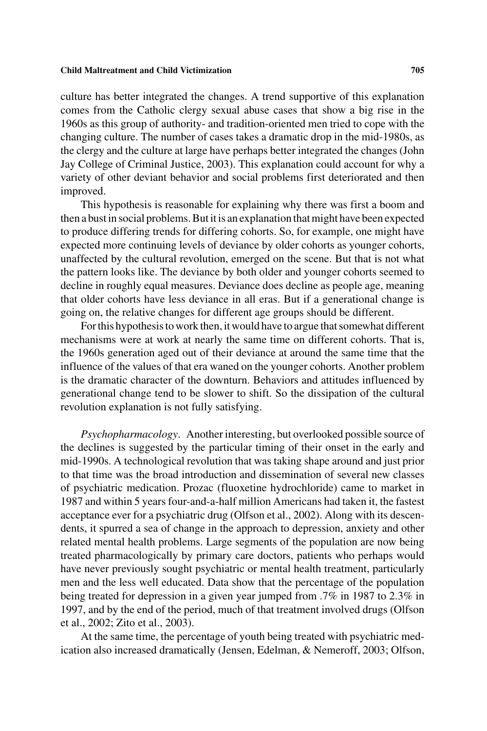culture has better integrated the changes. A trend supportive of this explanation comes from the Catholic clergy sexual abuse cases that show a big rise in the 1960s as this group of authority- and tradition-oriented men tried to cope with the changing culture. The number of cases takes a dramatic drop in the mid-1980s, as the clergy and the culture at large have perhaps better integrated the changes (John Jay College of Criminal Justice, 2003). This explanation could account for why a variety of other deviant behavior and social problems first deteriorated and then improved.

This hypothesis is reasonable for explaining why there was first a boom and then a bust in social problems. But it is an explanation that might have been expected to produce differing trends for differing cohorts. So, for example, one might have expected more continuing levels of deviance by older cohorts as younger cohorts, unaffected by the cultural revolution, emerged on the scene. But that is not what the pattern looks like. The deviance by both older and younger cohorts seemed to decline in roughly equal measures. Deviance does decline as people age, meaning that older cohorts have less deviance in all eras. But if a generational change is going on, the relative changes for different age groups should be different.

For this hypothesis to work then, it would have to argue that somewhat different mechanisms were at work at nearly the same time on different cohorts. That is, the 1960s generation aged out of their deviance at around the same time that the influence of the values of that era waned on the younger cohorts. Another problem is the dramatic character of the downturn. Behaviors and attitudes influenced by generational change tend to be slower to shift. So the dissipation of the cultural revolution explanation is not fully satisfying.

*Psychopharmacology*. Another interesting, but overlooked possible source of the declines is suggested by the particular timing of their onset in the early and mid-1990s. A technological revolution that was taking shape around and just prior to that time was the broad introduction and dissemination of several new classes of psychiatric medication. Prozac (fluoxetine hydrochloride) came to market in 1987 and within 5 years four-and-a-half million Americans had taken it, the fastest acceptance ever for a psychiatric drug (Olfson et al., 2002). Along with its descendents, it spurred a sea of change in the approach to depression, anxiety and other related mental health problems. Large segments of the population are now being treated pharmacologically by primary care doctors, patients who perhaps would have never previously sought psychiatric or mental health treatment, particularly men and the less well educated. Data show that the percentage of the population being treated for depression in a given year jumped from .7% in 1987 to 2.3% in 1997, and by the end of the period, much of that treatment involved drugs (Olfson et al., 2002; Zito et al., 2003).

At the same time, the percentage of youth being treated with psychiatric medication also increased dramatically (Jensen, Edelman, & Nemeroff, 2003; Olfson,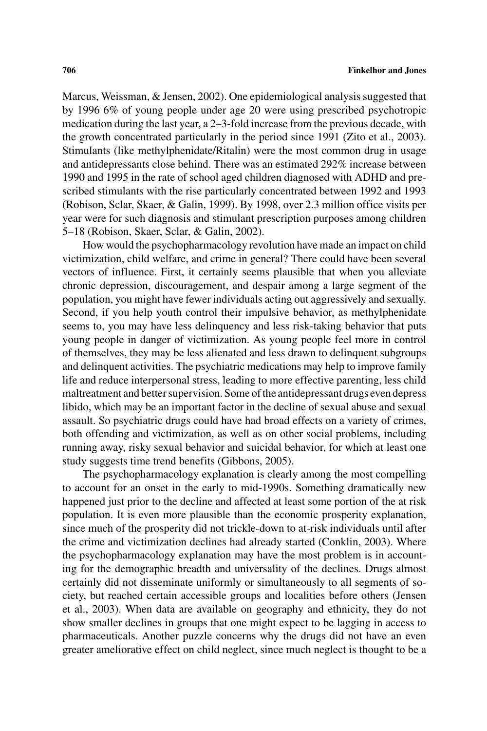Marcus, Weissman, & Jensen, 2002). One epidemiological analysis suggested that by 1996 6% of young people under age 20 were using prescribed psychotropic medication during the last year, a 2–3-fold increase from the previous decade, with the growth concentrated particularly in the period since 1991 (Zito et al., 2003). Stimulants (like methylphenidate/Ritalin) were the most common drug in usage and antidepressants close behind. There was an estimated 292% increase between 1990 and 1995 in the rate of school aged children diagnosed with ADHD and prescribed stimulants with the rise particularly concentrated between 1992 and 1993 (Robison, Sclar, Skaer, & Galin, 1999). By 1998, over 2.3 million office visits per year were for such diagnosis and stimulant prescription purposes among children 5–18 (Robison, Skaer, Sclar, & Galin, 2002).

How would the psychopharmacology revolution have made an impact on child victimization, child welfare, and crime in general? There could have been several vectors of influence. First, it certainly seems plausible that when you alleviate chronic depression, discouragement, and despair among a large segment of the population, you might have fewer individuals acting out aggressively and sexually. Second, if you help youth control their impulsive behavior, as methylphenidate seems to, you may have less delinquency and less risk-taking behavior that puts young people in danger of victimization. As young people feel more in control of themselves, they may be less alienated and less drawn to delinquent subgroups and delinquent activities. The psychiatric medications may help to improve family life and reduce interpersonal stress, leading to more effective parenting, less child maltreatment and better supervision. Some of the antidepressant drugs even depress libido, which may be an important factor in the decline of sexual abuse and sexual assault. So psychiatric drugs could have had broad effects on a variety of crimes, both offending and victimization, as well as on other social problems, including running away, risky sexual behavior and suicidal behavior, for which at least one study suggests time trend benefits (Gibbons, 2005).

The psychopharmacology explanation is clearly among the most compelling to account for an onset in the early to mid-1990s. Something dramatically new happened just prior to the decline and affected at least some portion of the at risk population. It is even more plausible than the economic prosperity explanation, since much of the prosperity did not trickle-down to at-risk individuals until after the crime and victimization declines had already started (Conklin, 2003). Where the psychopharmacology explanation may have the most problem is in accounting for the demographic breadth and universality of the declines. Drugs almost certainly did not disseminate uniformly or simultaneously to all segments of society, but reached certain accessible groups and localities before others (Jensen et al., 2003). When data are available on geography and ethnicity, they do not show smaller declines in groups that one might expect to be lagging in access to pharmaceuticals. Another puzzle concerns why the drugs did not have an even greater ameliorative effect on child neglect, since much neglect is thought to be a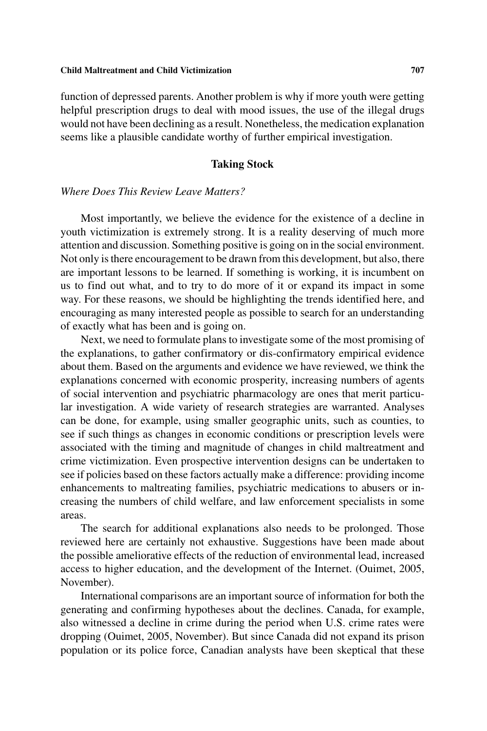function of depressed parents. Another problem is why if more youth were getting helpful prescription drugs to deal with mood issues, the use of the illegal drugs would not have been declining as a result. Nonetheless, the medication explanation seems like a plausible candidate worthy of further empirical investigation.

### **Taking Stock**

### *Where Does This Review Leave Matters?*

Most importantly, we believe the evidence for the existence of a decline in youth victimization is extremely strong. It is a reality deserving of much more attention and discussion. Something positive is going on in the social environment. Not only is there encouragement to be drawn from this development, but also, there are important lessons to be learned. If something is working, it is incumbent on us to find out what, and to try to do more of it or expand its impact in some way. For these reasons, we should be highlighting the trends identified here, and encouraging as many interested people as possible to search for an understanding of exactly what has been and is going on.

Next, we need to formulate plans to investigate some of the most promising of the explanations, to gather confirmatory or dis-confirmatory empirical evidence about them. Based on the arguments and evidence we have reviewed, we think the explanations concerned with economic prosperity, increasing numbers of agents of social intervention and psychiatric pharmacology are ones that merit particular investigation. A wide variety of research strategies are warranted. Analyses can be done, for example, using smaller geographic units, such as counties, to see if such things as changes in economic conditions or prescription levels were associated with the timing and magnitude of changes in child maltreatment and crime victimization. Even prospective intervention designs can be undertaken to see if policies based on these factors actually make a difference: providing income enhancements to maltreating families, psychiatric medications to abusers or increasing the numbers of child welfare, and law enforcement specialists in some areas.

The search for additional explanations also needs to be prolonged. Those reviewed here are certainly not exhaustive. Suggestions have been made about the possible ameliorative effects of the reduction of environmental lead, increased access to higher education, and the development of the Internet. (Ouimet, 2005, November).

International comparisons are an important source of information for both the generating and confirming hypotheses about the declines. Canada, for example, also witnessed a decline in crime during the period when U.S. crime rates were dropping (Ouimet, 2005, November). But since Canada did not expand its prison population or its police force, Canadian analysts have been skeptical that these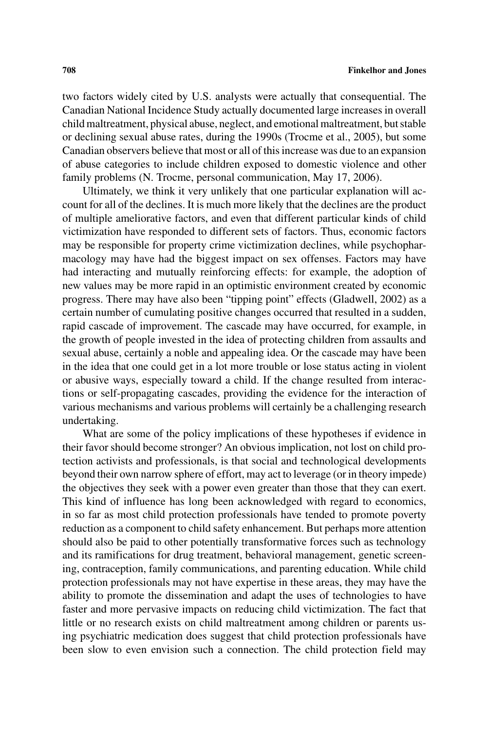two factors widely cited by U.S. analysts were actually that consequential. The Canadian National Incidence Study actually documented large increases in overall child maltreatment, physical abuse, neglect, and emotional maltreatment, but stable or declining sexual abuse rates, during the 1990s (Trocme et al., 2005), but some Canadian observers believe that most or all of this increase was due to an expansion of abuse categories to include children exposed to domestic violence and other family problems (N. Trocme, personal communication, May 17, 2006).

Ultimately, we think it very unlikely that one particular explanation will account for all of the declines. It is much more likely that the declines are the product of multiple ameliorative factors, and even that different particular kinds of child victimization have responded to different sets of factors. Thus, economic factors may be responsible for property crime victimization declines, while psychopharmacology may have had the biggest impact on sex offenses. Factors may have had interacting and mutually reinforcing effects: for example, the adoption of new values may be more rapid in an optimistic environment created by economic progress. There may have also been "tipping point" effects (Gladwell, 2002) as a certain number of cumulating positive changes occurred that resulted in a sudden, rapid cascade of improvement. The cascade may have occurred, for example, in the growth of people invested in the idea of protecting children from assaults and sexual abuse, certainly a noble and appealing idea. Or the cascade may have been in the idea that one could get in a lot more trouble or lose status acting in violent or abusive ways, especially toward a child. If the change resulted from interactions or self-propagating cascades, providing the evidence for the interaction of various mechanisms and various problems will certainly be a challenging research undertaking.

What are some of the policy implications of these hypotheses if evidence in their favor should become stronger? An obvious implication, not lost on child protection activists and professionals, is that social and technological developments beyond their own narrow sphere of effort, may act to leverage (or in theory impede) the objectives they seek with a power even greater than those that they can exert. This kind of influence has long been acknowledged with regard to economics, in so far as most child protection professionals have tended to promote poverty reduction as a component to child safety enhancement. But perhaps more attention should also be paid to other potentially transformative forces such as technology and its ramifications for drug treatment, behavioral management, genetic screening, contraception, family communications, and parenting education. While child protection professionals may not have expertise in these areas, they may have the ability to promote the dissemination and adapt the uses of technologies to have faster and more pervasive impacts on reducing child victimization. The fact that little or no research exists on child maltreatment among children or parents using psychiatric medication does suggest that child protection professionals have been slow to even envision such a connection. The child protection field may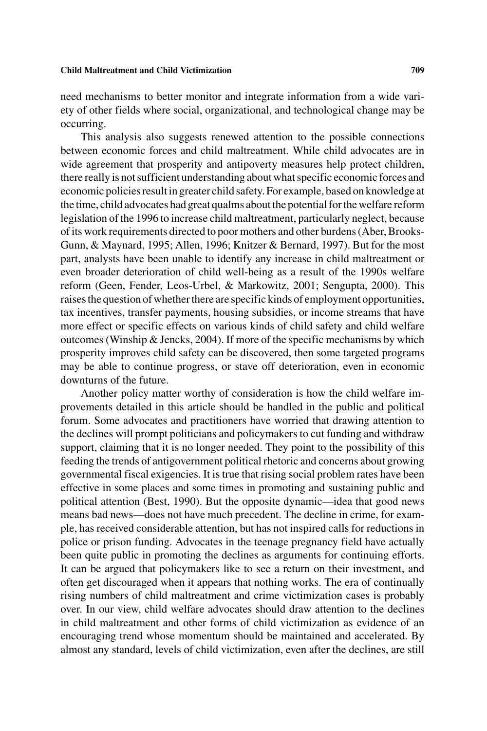need mechanisms to better monitor and integrate information from a wide variety of other fields where social, organizational, and technological change may be occurring.

This analysis also suggests renewed attention to the possible connections between economic forces and child maltreatment. While child advocates are in wide agreement that prosperity and antipoverty measures help protect children, there really is not sufficient understanding about what specific economic forces and economic policies result in greater child safety. For example, based on knowledge at the time, child advocates had great qualms about the potential for the welfare reform legislation of the 1996 to increase child maltreatment, particularly neglect, because of its work requirements directed to poor mothers and other burdens (Aber, Brooks-Gunn, & Maynard, 1995; Allen, 1996; Knitzer & Bernard, 1997). But for the most part, analysts have been unable to identify any increase in child maltreatment or even broader deterioration of child well-being as a result of the 1990s welfare reform (Geen, Fender, Leos-Urbel, & Markowitz, 2001; Sengupta, 2000). This raises the question of whether there are specific kinds of employment opportunities, tax incentives, transfer payments, housing subsidies, or income streams that have more effect or specific effects on various kinds of child safety and child welfare outcomes (Winship & Jencks, 2004). If more of the specific mechanisms by which prosperity improves child safety can be discovered, then some targeted programs may be able to continue progress, or stave off deterioration, even in economic downturns of the future.

Another policy matter worthy of consideration is how the child welfare improvements detailed in this article should be handled in the public and political forum. Some advocates and practitioners have worried that drawing attention to the declines will prompt politicians and policymakers to cut funding and withdraw support, claiming that it is no longer needed. They point to the possibility of this feeding the trends of antigovernment political rhetoric and concerns about growing governmental fiscal exigencies. It is true that rising social problem rates have been effective in some places and some times in promoting and sustaining public and political attention (Best, 1990). But the opposite dynamic—idea that good news means bad news—does not have much precedent. The decline in crime, for example, has received considerable attention, but has not inspired calls for reductions in police or prison funding. Advocates in the teenage pregnancy field have actually been quite public in promoting the declines as arguments for continuing efforts. It can be argued that policymakers like to see a return on their investment, and often get discouraged when it appears that nothing works. The era of continually rising numbers of child maltreatment and crime victimization cases is probably over. In our view, child welfare advocates should draw attention to the declines in child maltreatment and other forms of child victimization as evidence of an encouraging trend whose momentum should be maintained and accelerated. By almost any standard, levels of child victimization, even after the declines, are still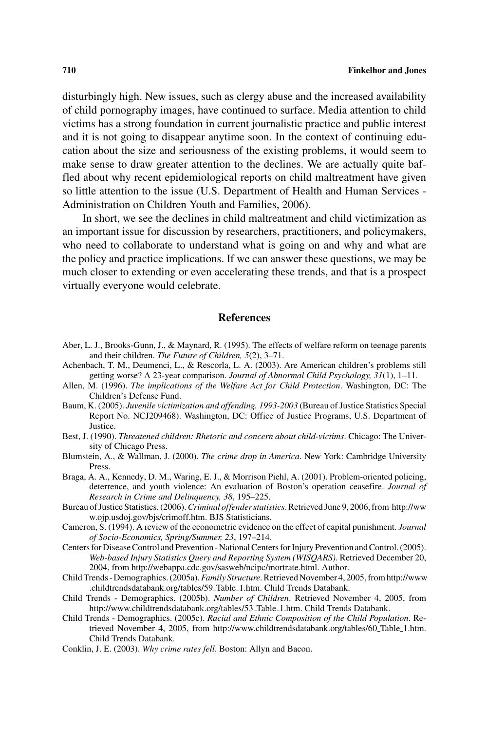disturbingly high. New issues, such as clergy abuse and the increased availability of child pornography images, have continued to surface. Media attention to child victims has a strong foundation in current journalistic practice and public interest and it is not going to disappear anytime soon. In the context of continuing education about the size and seriousness of the existing problems, it would seem to make sense to draw greater attention to the declines. We are actually quite baffled about why recent epidemiological reports on child maltreatment have given so little attention to the issue (U.S. Department of Health and Human Services - Administration on Children Youth and Families, 2006).

In short, we see the declines in child maltreatment and child victimization as an important issue for discussion by researchers, practitioners, and policymakers, who need to collaborate to understand what is going on and why and what are the policy and practice implications. If we can answer these questions, we may be much closer to extending or even accelerating these trends, and that is a prospect virtually everyone would celebrate.

### **References**

- Aber, L. J., Brooks-Gunn, J., & Maynard, R. (1995). The effects of welfare reform on teenage parents and their children. *The Future of Children, 5*(2), 3–71.
- Achenbach, T. M., Deumenci, L., & Rescorla, L. A. (2003). Are American children's problems still getting worse? A 23-year comparison. *Journal of Abnormal Child Psychology, 31*(1), 1–11.
- Allen, M. (1996). *The implications of the Welfare Act for Child Protection*. Washington, DC: The Children's Defense Fund.
- Baum, K. (2005). *Juvenile victimization and offending, 1993-2003* (Bureau of Justice Statistics Special Report No. NCJ209468). Washington, DC: Office of Justice Programs, U.S. Department of **Justice**.
- Best, J. (1990). *Threatened children: Rhetoric and concern about child-victims*. Chicago: The University of Chicago Press.
- Blumstein, A., & Wallman, J. (2000). *The crime drop in America*. New York: Cambridge University Press.
- Braga, A. A., Kennedy, D. M., Waring, E. J., & Morrison Piehl, A. (2001). Problem-oriented policing, deterrence, and youth violence: An evaluation of Boston's operation ceasefire. *Journal of Research in Crime and Delinquency, 38*, 195–225.
- Bureau of Justice Statistics. (2006).*Criminal offender statistics*. Retrieved June 9, 2006, from http://ww w.ojp.usdoj.gov/bjs/crimoff.htm. BJS Statisticians.
- Cameron, S. (1994). A review of the econometric evidence on the effect of capital punishment. *Journal of Socio-Economics, Spring/Summer, 23*, 197–214.
- Centers for Disease Control and Prevention National Centers for Injury Prevention and Control. (2005). *Web-based Injury Statistics Query and Reporting System (WISQARS)*. Retrieved December 20, 2004, from http://webappa.cdc.gov/sasweb/ncipc/mortrate.html. Author.
- Child Trends Demographics. (2005a).*Family Structure*. Retrieved November 4, 2005, from http://www .childtrendsdatabank.org/tables/59 Table 1.htm. Child Trends Databank.
- Child Trends Demographics. (2005b). *Number of Children*. Retrieved November 4, 2005, from http://www.childtrendsdatabank.org/tables/53 Table 1.htm. Child Trends Databank.
- Child Trends Demographics. (2005c). *Racial and Ethnic Composition of the Child Population*. Retrieved November 4, 2005, from http://www.childtrendsdatabank.org/tables/60 Table 1.htm. Child Trends Databank.
- Conklin, J. E. (2003). *Why crime rates fell*. Boston: Allyn and Bacon.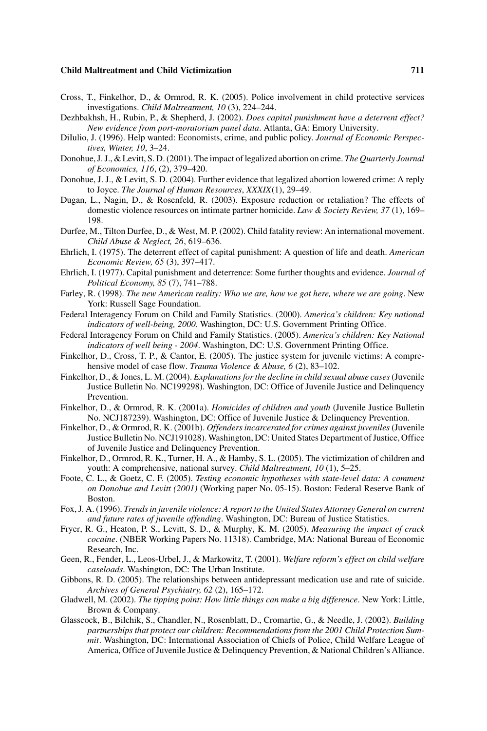- Cross, T., Finkelhor, D., & Ormrod, R. K. (2005). Police involvement in child protective services investigations. *Child Maltreatment, 10* (3), 224–244.
- Dezhbakhsh, H., Rubin, P., & Shepherd, J. (2002). *Does capital punishment have a deterrent effect? New evidence from port-moratorium panel data*. Atlanta, GA: Emory University.
- DiIulio, J. (1996). Help wanted: Economists, crime, and public policy. *Journal of Economic Perspectives, Winter, 10*, 3–24.
- Donohue, J. J., & Levitt, S. D. (2001). The impact of legalized abortion on crime. *The Quarterly Journal of Economics, 116*, (2), 379–420.
- Donohue, J. J., & Levitt, S. D. (2004). Further evidence that legalized abortion lowered crime: A reply to Joyce. *The Journal of Human Resources*, *XXXIX*(1), 29–49.
- Dugan, L., Nagin, D., & Rosenfeld, R. (2003). Exposure reduction or retaliation? The effects of domestic violence resources on intimate partner homicide. *Law & Society Review, 37* (1), 169– 198.
- Durfee, M., Tilton Durfee, D., & West, M. P. (2002). Child fatality review: An international movement. *Child Abuse & Neglect, 26*, 619–636.
- Ehrlich, I. (1975). The deterrent effect of capital punishment: A question of life and death. *American Economic Review, 65* (3), 397–417.
- Ehrlich, I. (1977). Capital punishment and deterrence: Some further thoughts and evidence. *Journal of Political Economy, 85* (7), 741–788.
- Farley, R. (1998). *The new American reality: Who we are, how we got here, where we are going*. New York: Russell Sage Foundation.
- Federal Interagency Forum on Child and Family Statistics. (2000). *America's children: Key national indicators of well-being, 2000*. Washington, DC: U.S. Government Printing Office.
- Federal Interagency Forum on Child and Family Statistics. (2005). *America's children: Key National indicators of well being - 2004*. Washington, DC: U.S. Government Printing Office.
- Finkelhor, D., Cross, T. P., & Cantor, E. (2005). The justice system for juvenile victims: A comprehensive model of case flow. *Trauma Violence & Abuse, 6* (2), 83–102.
- Finkelhor, D., & Jones, L. M. (2004). *Explanations for the decline in child sexual abuse cases*(Juvenile Justice Bulletin No. NC199298). Washington, DC: Office of Juvenile Justice and Delinquency Prevention.
- Finkelhor, D., & Ormrod, R. K. (2001a). *Homicides of children and youth* (Juvenile Justice Bulletin No. NCJ187239). Washington, DC: Office of Juvenile Justice & Delinquency Prevention.
- Finkelhor, D., & Ormrod, R. K. (2001b). *Offenders incarcerated for crimes against juveniles* (Juvenile Justice Bulletin No. NCJ191028). Washington, DC: United States Department of Justice, Office of Juvenile Justice and Delinquency Prevention.
- Finkelhor, D., Ormrod, R. K., Turner, H. A., & Hamby, S. L. (2005). The victimization of children and youth: A comprehensive, national survey. *Child Maltreatment, 10* (1), 5–25.
- Foote, C. L., & Goetz, C. F. (2005). *Testing economic hypotheses with state-level data: A comment on Donohue and Levitt (2001)* (Working paper No. 05-15). Boston: Federal Reserve Bank of Boston.
- Fox, J. A. (1996). *Trends in juvenile violence: A report to the United States Attorney General on current and future rates of juvenile offending*. Washington, DC: Bureau of Justice Statistics.
- Fryer, R. G., Heaton, P. S., Levitt, S. D., & Murphy, K. M. (2005). *Measuring the impact of crack cocaine*. (NBER Working Papers No. 11318). Cambridge, MA: National Bureau of Economic Research, Inc.
- Geen, R., Fender, L., Leos-Urbel, J., & Markowitz, T. (2001). *Welfare reform's effect on child welfare caseloads*. Washington, DC: The Urban Institute.
- Gibbons, R. D. (2005). The relationships between antidepressant medication use and rate of suicide. *Archives of General Psychiatry, 62* (2), 165–172.
- Gladwell, M. (2002). *The tipping point: How little things can make a big difference*. New York: Little, Brown & Company.
- Glasscock, B., Bilchik, S., Chandler, N., Rosenblatt, D., Cromartie, G., & Needle, J. (2002). *Building partnerships that protect our children: Recommendations from the 2001 Child Protection Summit*. Washington, DC: International Association of Chiefs of Police, Child Welfare League of America, Office of Juvenile Justice & Delinquency Prevention, & National Children's Alliance.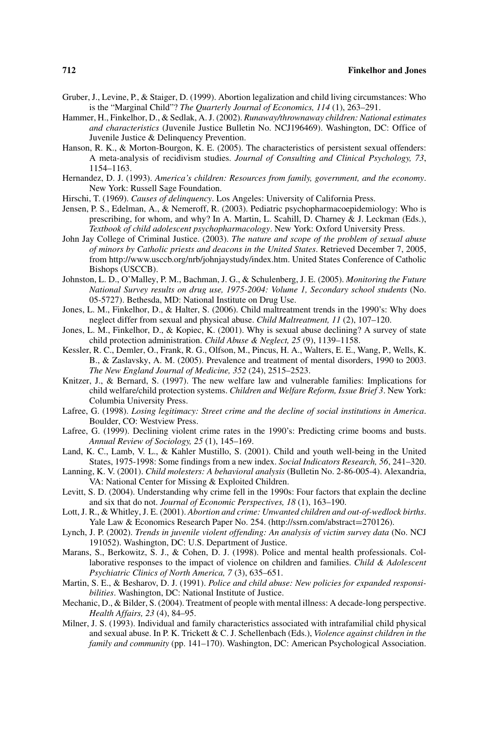#### **712 Finkelhor and Jones**

- Gruber, J., Levine, P., & Staiger, D. (1999). Abortion legalization and child living circumstances: Who is the "Marginal Child"? *The Quarterly Journal of Economics, 114* (1), 263–291.
- Hammer, H., Finkelhor, D., & Sedlak, A. J. (2002). *Runaway/thrownaway children: National estimates and characteristics* (Juvenile Justice Bulletin No. NCJ196469). Washington, DC: Office of Juvenile Justice & Delinquency Prevention.
- Hanson, R. K., & Morton-Bourgon, K. E. (2005). The characteristics of persistent sexual offenders: A meta-analysis of recidivism studies. *Journal of Consulting and Clinical Psychology, 73*, 1154–1163.
- Hernandez, D. J. (1993). *America's children: Resources from family, government, and the economy*. New York: Russell Sage Foundation.
- Hirschi, T. (1969). *Causes of delinquency*. Los Angeles: University of California Press.
- Jensen, P. S., Edelman, A., & Nemeroff, R. (2003). Pediatric psychopharmacoepidemiology: Who is prescribing, for whom, and why? In A. Martin, L. Scahill, D. Charney & J. Leckman (Eds.), *Textbook of child adolescent psychopharmacology*. New York: Oxford University Press.
- John Jay College of Criminal Justice. (2003). *The nature and scope of the problem of sexual abuse of minors by Catholic priests and deacons in the United States*. Retrieved December 7, 2005, from http://www.usccb.org/nrb/johnjaystudy/index.htm. United States Conference of Catholic Bishops (USCCB).
- Johnston, L. D., O'Malley, P. M., Bachman, J. G., & Schulenberg, J. E. (2005). *Monitoring the Future National Survey results on drug use, 1975-2004: Volume 1, Secondary school students* (No. 05-5727). Bethesda, MD: National Institute on Drug Use.
- Jones, L. M., Finkelhor, D., & Halter, S. (2006). Child maltreatment trends in the 1990's: Why does neglect differ from sexual and physical abuse. *Child Maltreatment, 11* (2), 107–120.
- Jones, L. M., Finkelhor, D., & Kopiec, K. (2001). Why is sexual abuse declining? A survey of state child protection administration. *Child Abuse & Neglect, 25* (9), 1139–1158.
- Kessler, R. C., Demler, O., Frank, R. G., Olfson, M., Pincus, H. A., Walters, E. E., Wang, P., Wells, K. B., & Zaslavsky, A. M. (2005). Prevalence and treatment of mental disorders, 1990 to 2003. *The New England Journal of Medicine, 352* (24), 2515–2523.
- Knitzer, J., & Bernard, S. (1997). The new welfare law and vulnerable families: Implications for child welfare/child protection systems. *Children and Welfare Reform, Issue Brief 3*. New York: Columbia University Press.
- Lafree, G. (1998). *Losing legitimacy: Street crime and the decline of social institutions in America*. Boulder, CO: Westview Press.
- Lafree, G. (1999). Declining violent crime rates in the 1990's: Predicting crime booms and busts. *Annual Review of Sociology, 25* (1), 145–169.
- Land, K. C., Lamb, V. L., & Kahler Mustillo, S. (2001). Child and youth well-being in the United States, 1975-1998: Some findings from a new index. *Social Indicators Research, 56*, 241–320.
- Lanning, K. V. (2001). *Child molesters: A behavioral analysis* (Bulletin No. 2-86-005-4). Alexandria, VA: National Center for Missing & Exploited Children.
- Levitt, S. D. (2004). Understanding why crime fell in the 1990s: Four factors that explain the decline and six that do not. *Journal of Economic Perspectives, 18* (1), 163–190.
- Lott, J. R., & Whitley, J. E. (2001). *Abortion and crime: Unwanted children and out-of-wedlock births*. Yale Law & Economics Research Paper No. 254. (http://ssrn.com/abstract=270126).
- Lynch, J. P. (2002). *Trends in juvenile violent offending: An analysis of victim survey data* (No. NCJ 191052). Washington, DC: U.S. Department of Justice.
- Marans, S., Berkowitz, S. J., & Cohen, D. J. (1998). Police and mental health professionals. Collaborative responses to the impact of violence on children and families. *Child & Adolescent Psychiatric Clinics of North America, 7* (3), 635–651.
- Martin, S. E., & Besharov, D. J. (1991). *Police and child abuse: New policies for expanded responsibilities*. Washington, DC: National Institute of Justice.
- Mechanic, D., & Bilder, S. (2004). Treatment of people with mental illness: A decade-long perspective. *Health Affairs, 23* (4), 84–95.
- Milner, J. S. (1993). Individual and family characteristics associated with intrafamilial child physical and sexual abuse. In P. K. Trickett & C. J. Schellenbach (Eds.), *Violence against children in the family and community* (pp. 141–170). Washington, DC: American Psychological Association.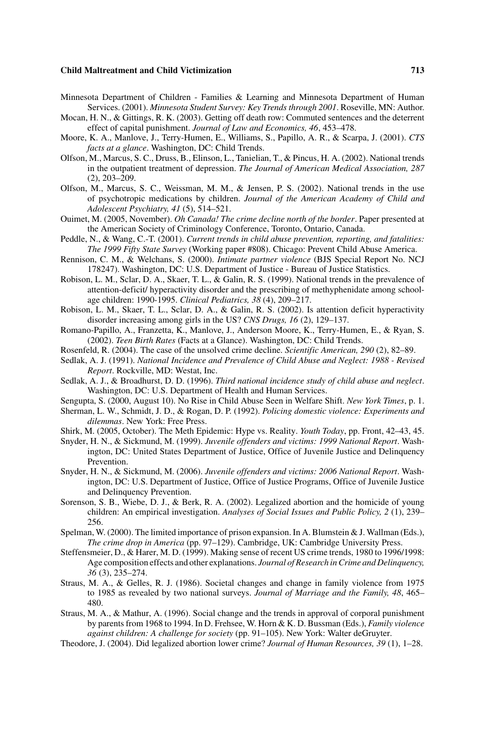- Minnesota Department of Children Families & Learning and Minnesota Department of Human Services. (2001). *Minnesota Student Survey: Key Trends through 2001*. Roseville, MN: Author.
- Mocan, H. N., & Gittings, R. K. (2003). Getting off death row: Commuted sentences and the deterrent effect of capital punishment. *Journal of Law and Economics, 46*, 453–478.
- Moore, K. A., Manlove, J., Terry-Humen, E., Williams, S., Papillo, A. R., & Scarpa, J. (2001). *CTS facts at a glance*. Washington, DC: Child Trends.
- Olfson, M., Marcus, S. C., Druss, B., Elinson, L., Tanielian, T., & Pincus, H. A. (2002). National trends in the outpatient treatment of depression. *The Journal of American Medical Association, 287* (2), 203–209.
- Olfson, M., Marcus, S. C., Weissman, M. M., & Jensen, P. S. (2002). National trends in the use of psychotropic medications by children. *Journal of the American Academy of Child and Adolescent Psychiatry, 41* (5), 514–521.
- Ouimet, M. (2005, November). *Oh Canada! The crime decline north of the border*. Paper presented at the American Society of Criminology Conference, Toronto, Ontario, Canada.
- Peddle, N., & Wang, C.-T. (2001). *Current trends in child abuse prevention, reporting, and fatalities: The 1999 Fifty State Survey* (Working paper #808). Chicago: Prevent Child Abuse America.
- Rennison, C. M., & Welchans, S. (2000). *Intimate partner violence* (BJS Special Report No. NCJ 178247). Washington, DC: U.S. Department of Justice - Bureau of Justice Statistics.
- Robison, L. M., Sclar, D. A., Skaer, T. L., & Galin, R. S. (1999). National trends in the prevalence of attention-deficit/ hyperactivity disorder and the prescribing of methyphenidate among schoolage children: 1990-1995. *Clinical Pediatrics, 38* (4), 209–217.
- Robison, L. M., Skaer, T. L., Sclar, D. A., & Galin, R. S. (2002). Is attention deficit hyperactivity disorder increasing among girls in the US? *CNS Drugs, 16* (2), 129–137.
- Romano-Papillo, A., Franzetta, K., Manlove, J., Anderson Moore, K., Terry-Humen, E., & Ryan, S. (2002). *Teen Birth Rates* (Facts at a Glance). Washington, DC: Child Trends.
- Rosenfeld, R. (2004). The case of the unsolved crime decline. *Scientific American, 290* (2), 82–89.
- Sedlak, A. J. (1991). *National Incidence and Prevalence of Child Abuse and Neglect: 1988 Revised Report*. Rockville, MD: Westat, Inc.
- Sedlak, A. J., & Broadhurst, D. D. (1996). *Third national incidence study of child abuse and neglect*. Washington, DC: U.S. Department of Health and Human Services.
- Sengupta, S. (2000, August 10). No Rise in Child Abuse Seen in Welfare Shift. *New York Times*, p. 1.
- Sherman, L. W., Schmidt, J. D., & Rogan, D. P. (1992). *Policing domestic violence: Experiments and dilemmas*. New York: Free Press.
- Shirk, M. (2005, October). The Meth Epidemic: Hype vs. Reality. *Youth Today*, pp. Front, 42–43, 45.
- Snyder, H. N., & Sickmund, M. (1999). *Juvenile offenders and victims: 1999 National Report*. Washington, DC: United States Department of Justice, Office of Juvenile Justice and Delinquency Prevention.
- Snyder, H. N., & Sickmund, M. (2006). *Juvenile offenders and victims: 2006 National Report*. Washington, DC: U.S. Department of Justice, Office of Justice Programs, Office of Juvenile Justice and Delinquency Prevention.
- Sorenson, S. B., Wiebe, D. J., & Berk, R. A. (2002). Legalized abortion and the homicide of young children: An empirical investigation. *Analyses of Social Issues and Public Policy, 2* (1), 239– 256.
- Spelman, W. (2000). The limited importance of prison expansion. In A. Blumstein & J. Wallman (Eds.), *The crime drop in America* (pp. 97–129). Cambridge, UK: Cambridge University Press.
- Steffensmeier, D., & Harer, M. D. (1999). Making sense of recent US crime trends, 1980 to 1996/1998: Age composition effects and other explanations. *Journal of Research in Crime and Delinquency, 36* (3), 235–274.
- Straus, M. A., & Gelles, R. J. (1986). Societal changes and change in family violence from 1975 to 1985 as revealed by two national surveys. *Journal of Marriage and the Family, 48*, 465– 480.
- Straus, M. A., & Mathur, A. (1996). Social change and the trends in approval of corporal punishment by parents from 1968 to 1994. In D. Frehsee, W. Horn & K. D. Bussman (Eds.), *Family violence against children: A challenge for society* (pp. 91–105). New York: Walter deGruyter.
- Theodore, J. (2004). Did legalized abortion lower crime? *Journal of Human Resources, 39* (1), 1–28.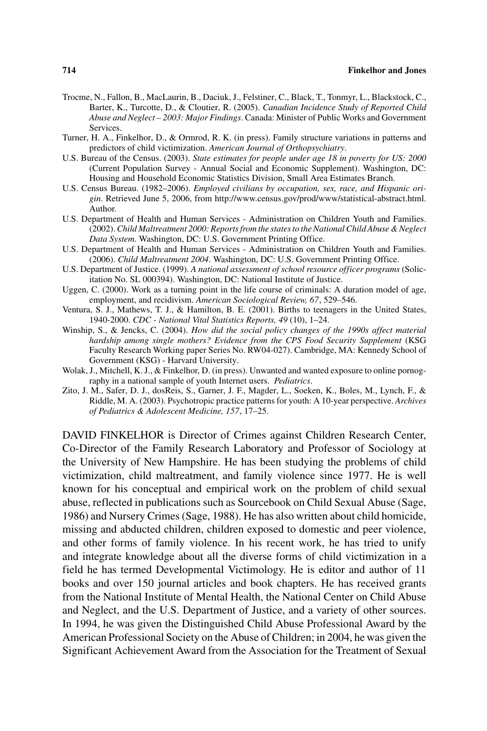#### **714 Finkelhor and Jones**

- Trocme, N., Fallon, B., MacLaurin, B., Daciuk, J., Felstiner, C., Black, T., Tonmyr, L., Blackstock, C., Barter, K., Turcotte, D., & Cloutier, R. (2005). *Canadian Incidence Study of Reported Child Abuse and Neglect – 2003: Major Findings*. Canada: Minister of Public Works and Government Services.
- Turner, H. A., Finkelhor, D., & Ormrod, R. K. (in press). Family structure variations in patterns and predictors of child victimization. *American Journal of Orthopsychiatry*.
- U.S. Bureau of the Census. (2003). *State estimates for people under age 18 in poverty for US: 2000* (Current Population Survey - Annual Social and Economic Supplement). Washington, DC: Housing and Household Economic Statistics Division, Small Area Estimates Branch.
- U.S. Census Bureau. (1982–2006). *Employed civilians by occupation, sex, race, and Hispanic origin*. Retrieved June 5, 2006, from http://www.census.gov/prod/www/statistical-abstract.html. Author.
- U.S. Department of Health and Human Services Administration on Children Youth and Families. (2002).*Child Maltreatment 2000: Reports from the states to the National Child Abuse & Neglect Data System*. Washington, DC: U.S. Government Printing Office.
- U.S. Department of Health and Human Services Administration on Children Youth and Families. (2006). *Child Maltreatment 2004*. Washington, DC: U.S. Government Printing Office.
- U.S. Department of Justice. (1999). *A national assessment of school resource officer programs* (Solicitation No. SL 000394). Washington, DC: National Institute of Justice.
- Uggen, C. (2000). Work as a turning point in the life course of criminals: A duration model of age, employment, and recidivism. *American Sociological Review, 67*, 529–546.
- Ventura, S. J., Mathews, T. J., & Hamilton, B. E. (2001). Births to teenagers in the United States, 1940-2000. *CDC - National Vital Statistics Reports, 49* (10), 1–24.
- Winship, S., & Jencks, C. (2004). *How did the social policy changes of the 1990s affect material hardship among single mothers? Evidence from the CPS Food Security Supplement* (KSG Faculty Research Working paper Series No. RW04-027). Cambridge, MA: Kennedy School of Government (KSG) - Harvard University.
- Wolak, J., Mitchell, K. J., & Finkelhor, D. (in press). Unwanted and wanted exposure to online pornography in a national sample of youth Internet users. *Pediatrics*.
- Zito, J. M., Safer, D. J., dosReis, S., Garner, J. F., Magder, L., Soeken, K., Boles, M., Lynch, F., & Riddle, M. A. (2003). Psychotropic practice patterns for youth: A 10-year perspective. *Archives of Pediatrics & Adolescent Medicine, 157*, 17–25.

DAVID FINKELHOR is Director of Crimes against Children Research Center, Co-Director of the Family Research Laboratory and Professor of Sociology at the University of New Hampshire. He has been studying the problems of child victimization, child maltreatment, and family violence since 1977. He is well known for his conceptual and empirical work on the problem of child sexual abuse, reflected in publications such as Sourcebook on Child Sexual Abuse (Sage, 1986) and Nursery Crimes (Sage, 1988). He has also written about child homicide, missing and abducted children, children exposed to domestic and peer violence, and other forms of family violence. In his recent work, he has tried to unify and integrate knowledge about all the diverse forms of child victimization in a field he has termed Developmental Victimology. He is editor and author of 11 books and over 150 journal articles and book chapters. He has received grants from the National Institute of Mental Health, the National Center on Child Abuse and Neglect, and the U.S. Department of Justice, and a variety of other sources. In 1994, he was given the Distinguished Child Abuse Professional Award by the American Professional Society on the Abuse of Children; in 2004, he was given the Significant Achievement Award from the Association for the Treatment of Sexual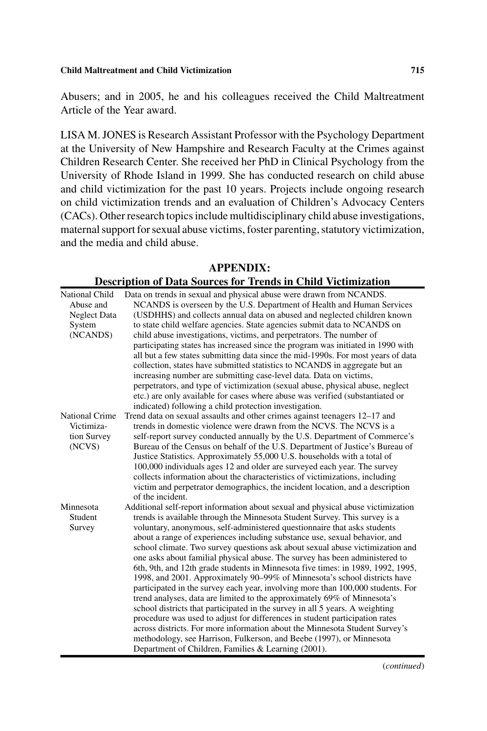Abusers; and in 2005, he and his colleagues received the Child Maltreatment Article of the Year award.

LISA M. JONES is Research Assistant Professor with the Psychology Department at the University of New Hampshire and Research Faculty at the Crimes against Children Research Center. She received her PhD in Clinical Psychology from the University of Rhode Island in 1999. She has conducted research on child abuse and child victimization for the past 10 years. Projects include ongoing research on child victimization trends and an evaluation of Children's Advocacy Centers (CACs). Other research topics include multidisciplinary child abuse investigations, maternal support for sexual abuse victims, foster parenting, statutory victimization, and the media and child abuse.

| Description of Data Sources for Trends in Child Victimization |                                                                                                                                                            |
|---------------------------------------------------------------|------------------------------------------------------------------------------------------------------------------------------------------------------------|
| <b>National Child</b>                                         | Data on trends in sexual and physical abuse were drawn from NCANDS.                                                                                        |
| Abuse and                                                     | NCANDS is overseen by the U.S. Department of Health and Human Services                                                                                     |
| Neglect Data                                                  | (USDHHS) and collects annual data on abused and neglected children known                                                                                   |
| System                                                        | to state child welfare agencies. State agencies submit data to NCANDS on                                                                                   |
| (NCANDS)                                                      | child abuse investigations, victims, and perpetrators. The number of                                                                                       |
|                                                               | participating states has increased since the program was initiated in 1990 with                                                                            |
|                                                               | all but a few states submitting data since the mid-1990s. For most years of data                                                                           |
|                                                               | collection, states have submitted statistics to NCANDS in aggregate but an                                                                                 |
|                                                               | increasing number are submitting case-level data. Data on victims,                                                                                         |
|                                                               | perpetrators, and type of victimization (sexual abuse, physical abuse, neglect                                                                             |
|                                                               | etc.) are only available for cases where abuse was verified (substantiated or                                                                              |
|                                                               | indicated) following a child protection investigation.                                                                                                     |
| <b>National Crime</b>                                         | Trend data on sexual assaults and other crimes against teenagers 12–17 and                                                                                 |
| Victimiza-                                                    | trends in domestic violence were drawn from the NCVS. The NCVS is a                                                                                        |
| tion Survey<br>(NCVS)                                         | self-report survey conducted annually by the U.S. Department of Commerce's<br>Bureau of the Census on behalf of the U.S. Department of Justice's Bureau of |
|                                                               | Justice Statistics. Approximately 55,000 U.S. households with a total of                                                                                   |
|                                                               | 100,000 individuals ages 12 and older are surveyed each year. The survey                                                                                   |
|                                                               | collects information about the characteristics of victimizations, including                                                                                |
|                                                               | victim and perpetrator demographics, the incident location, and a description                                                                              |
|                                                               | of the incident.                                                                                                                                           |
| Minnesota                                                     | Additional self-report information about sexual and physical abuse victimization                                                                           |
| Student                                                       | trends is available through the Minnesota Student Survey. This survey is a                                                                                 |
| Survey                                                        | voluntary, anonymous, self-administered questionnaire that asks students                                                                                   |
|                                                               | about a range of experiences including substance use, sexual behavior, and                                                                                 |
|                                                               | school climate. Two survey questions ask about sexual abuse victimization and                                                                              |
|                                                               | one asks about familial physical abuse. The survey has been administered to                                                                                |
|                                                               | 6th, 9th, and 12th grade students in Minnesota five times: in 1989, 1992, 1995,                                                                            |
|                                                               | 1998, and 2001. Approximately 90–99% of Minnesota's school districts have                                                                                  |
|                                                               | participated in the survey each year, involving more than 100,000 students. For                                                                            |
|                                                               | trend analyses, data are limited to the approximately 69% of Minnesota's                                                                                   |
|                                                               | school districts that participated in the survey in all 5 years. A weighting                                                                               |
|                                                               | procedure was used to adjust for differences in student participation rates                                                                                |
|                                                               | across districts. For more information about the Minnesota Student Survey's                                                                                |
|                                                               | methodology, see Harrison, Fulkerson, and Beebe (1997), or Minnesota                                                                                       |
|                                                               | Department of Children, Families & Learning (2001).                                                                                                        |

### **APPENDIX:**